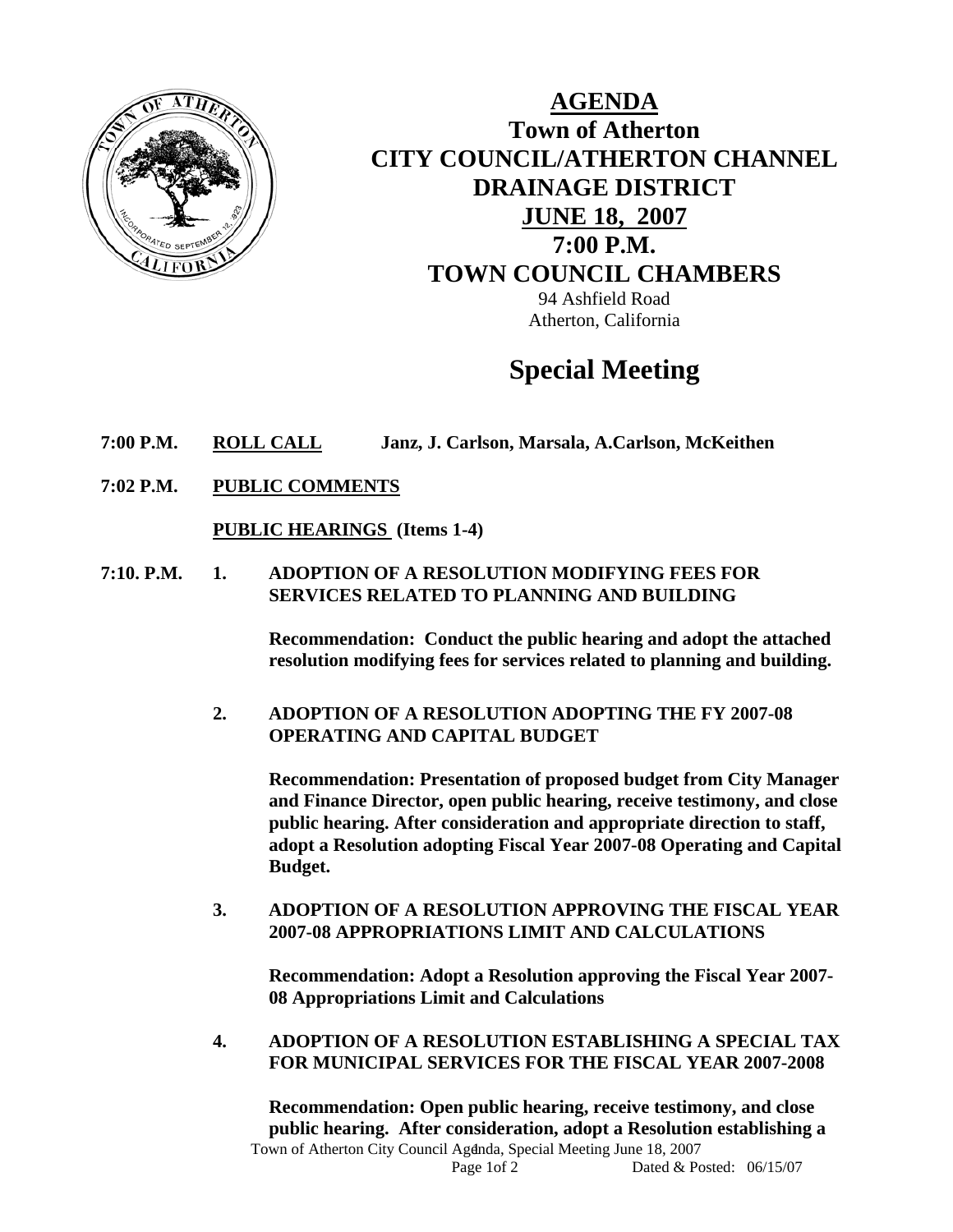

**AGENDA Town of Atherton CITY COUNCIL/ATHERTON CHANNEL DRAINAGE DISTRICT JUNE 18, 2007 7:00 P.M. TOWN COUNCIL CHAMBERS** 94 Ashfield Road Atherton, California

# **Special Meeting**

- **7:00 P.M. ROLL CALL Janz, J. Carlson, Marsala, A.Carlson, McKeithen**
- **7:02 P.M. PUBLIC COMMENTS**

**PUBLIC HEARINGS (Items 1-4)** 

**7:10. P.M. 1. ADOPTION OF A RESOLUTION MODIFYING FEES FOR SERVICES RELATED TO PLANNING AND BUILDING** 

> **Recommendation: Conduct the public hearing and adopt the attached resolution modifying fees for services related to planning and building.**

**2. ADOPTION OF A RESOLUTION ADOPTING THE FY 2007-08 OPERATING AND CAPITAL BUDGET** 

**Recommendation: Presentation of proposed budget from City Manager and Finance Director, open public hearing, receive testimony, and close public hearing. After consideration and appropriate direction to staff, adopt a Resolution adopting Fiscal Year 2007-08 Operating and Capital Budget.** 

**3. ADOPTION OF A RESOLUTION APPROVING THE FISCAL YEAR 2007-08 APPROPRIATIONS LIMIT AND CALCULATIONS** 

**Recommendation: Adopt a Resolution approving the Fiscal Year 2007- 08 Appropriations Limit and Calculations** 

**4. ADOPTION OF A RESOLUTION ESTABLISHING A SPECIAL TAX FOR MUNICIPAL SERVICES FOR THE FISCAL YEAR 2007-2008** 

Town of Atherton City Council Agdnda, Special Meeting June 18, 2007 **Recommendation: Open public hearing, receive testimony, and close public hearing. After consideration, adopt a Resolution establishing a**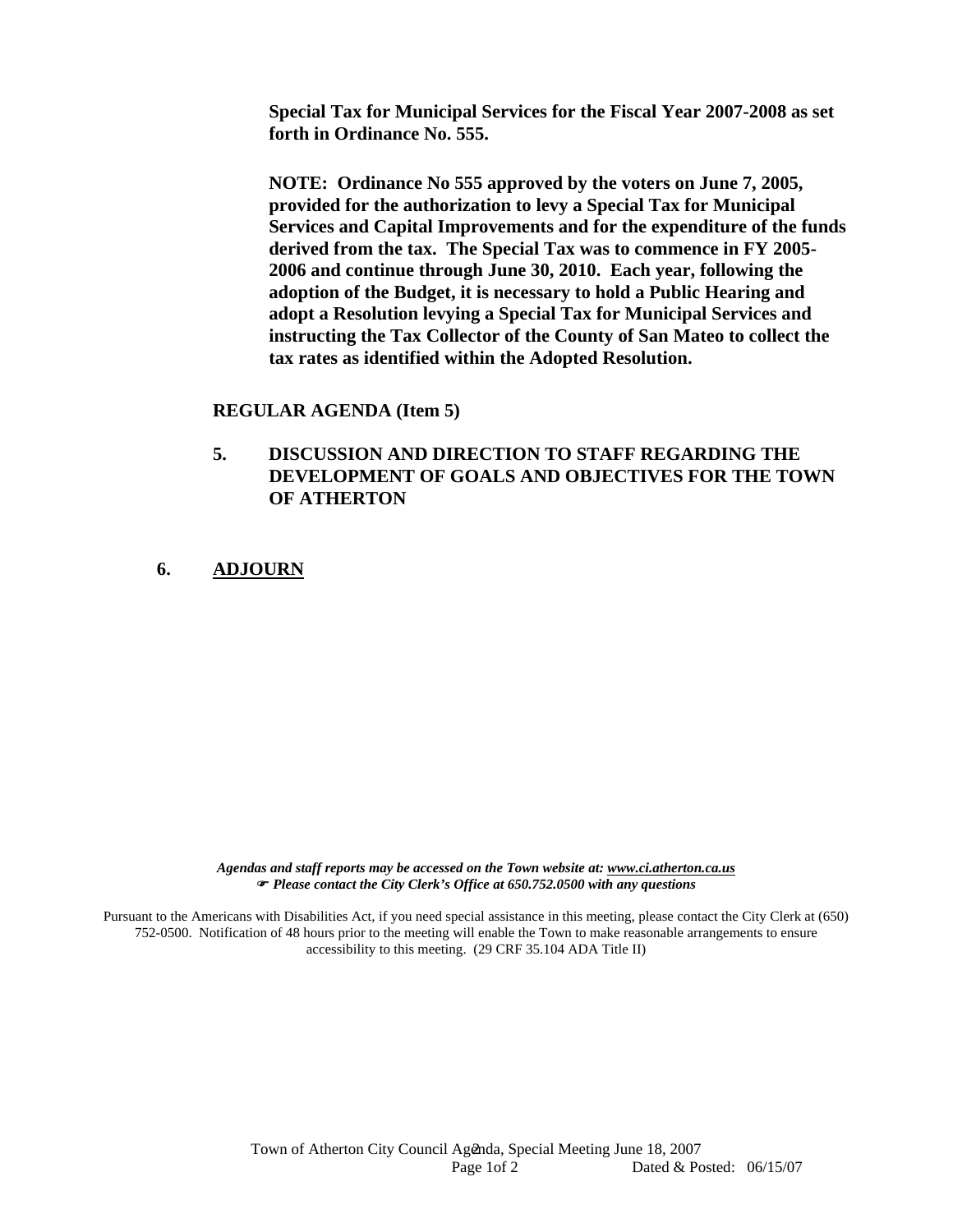**Special Tax for Municipal Services for the Fiscal Year 2007-2008 as set forth in Ordinance No. 555.** 

 **NOTE: Ordinance No 555 approved by the voters on June 7, 2005, provided for the authorization to levy a Special Tax for Municipal Services and Capital Improvements and for the expenditure of the funds derived from the tax. The Special Tax was to commence in FY 2005- 2006 and continue through June 30, 2010. Each year, following the adoption of the Budget, it is necessary to hold a Public Hearing and adopt a Resolution levying a Special Tax for Municipal Services and instructing the Tax Collector of the County of San Mateo to collect the tax rates as identified within the Adopted Resolution.** 

#### **REGULAR AGENDA (Item 5)**

- **5. DISCUSSION AND DIRECTION TO STAFF REGARDING THE DEVELOPMENT OF GOALS AND OBJECTIVES FOR THE TOWN OF ATHERTON**
- **6. ADJOURN**

*Agendas and staff reports may be accessed on the Town website at: www.ci.atherton.ca.us* ) *Please contact the City Clerk's Office at 650.752.0500 with any questions* 

Pursuant to the Americans with Disabilities Act, if you need special assistance in this meeting, please contact the City Clerk at (650) 752-0500. Notification of 48 hours prior to the meeting will enable the Town to make reasonable arrangements to ensure accessibility to this meeting. (29 CRF 35.104 ADA Title II)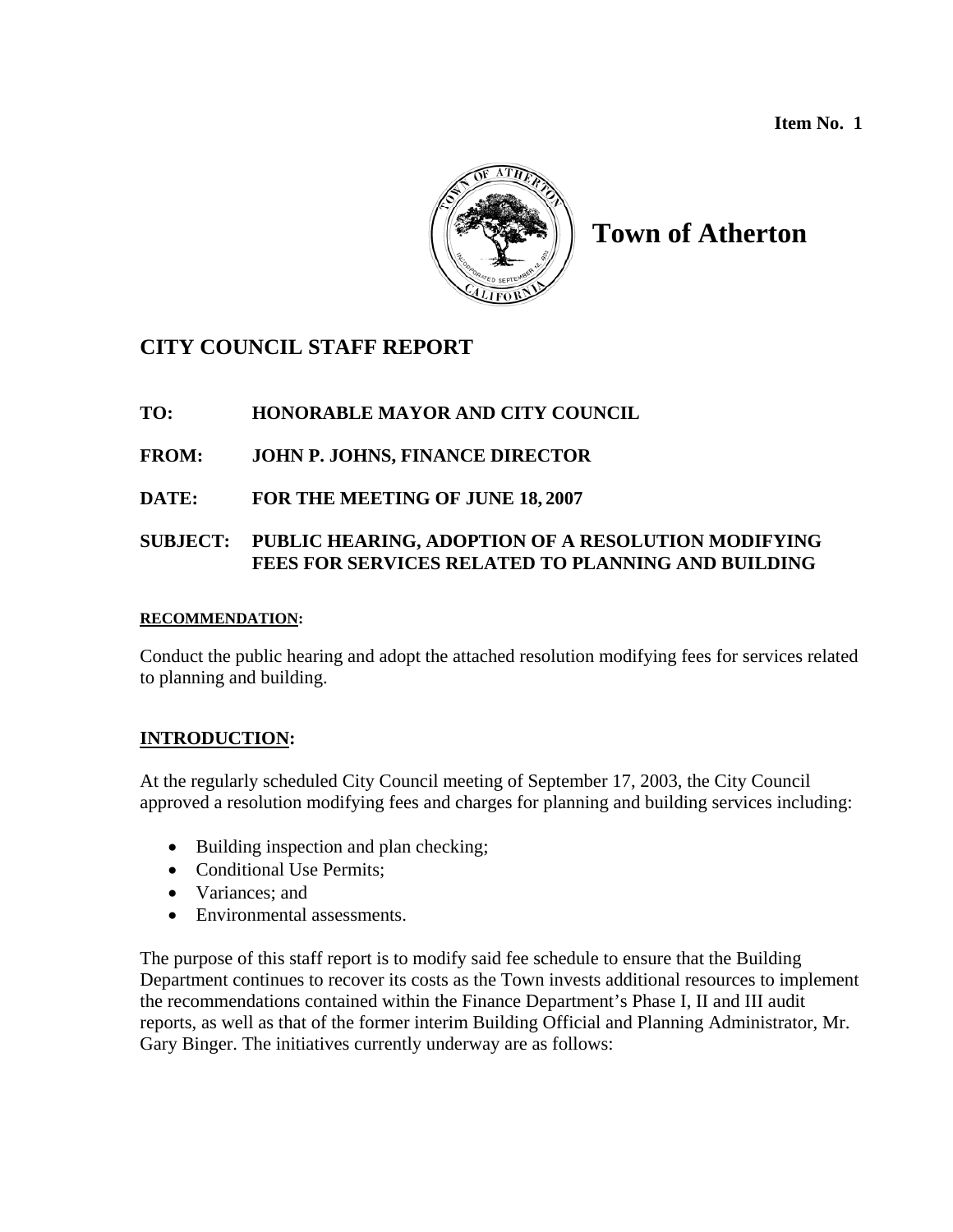**Item No. 1** 



# **Town of Atherton**

## **CITY COUNCIL STAFF REPORT**

## **TO: HONORABLE MAYOR AND CITY COUNCIL**

## **FROM: JOHN P. JOHNS, FINANCE DIRECTOR**

**DATE: FOR THE MEETING OF JUNE 18, 2007** 

## **SUBJECT: PUBLIC HEARING, ADOPTION OF A RESOLUTION MODIFYING FEES FOR SERVICES RELATED TO PLANNING AND BUILDING**

#### **RECOMMENDATION:**

Conduct the public hearing and adopt the attached resolution modifying fees for services related to planning and building.

## **INTRODUCTION:**

At the regularly scheduled City Council meeting of September 17, 2003, the City Council approved a resolution modifying fees and charges for planning and building services including:

- Building inspection and plan checking;
- Conditional Use Permits:
- Variances: and
- Environmental assessments.

The purpose of this staff report is to modify said fee schedule to ensure that the Building Department continues to recover its costs as the Town invests additional resources to implement the recommendations contained within the Finance Department's Phase I, II and III audit reports, as well as that of the former interim Building Official and Planning Administrator, Mr. Gary Binger. The initiatives currently underway are as follows: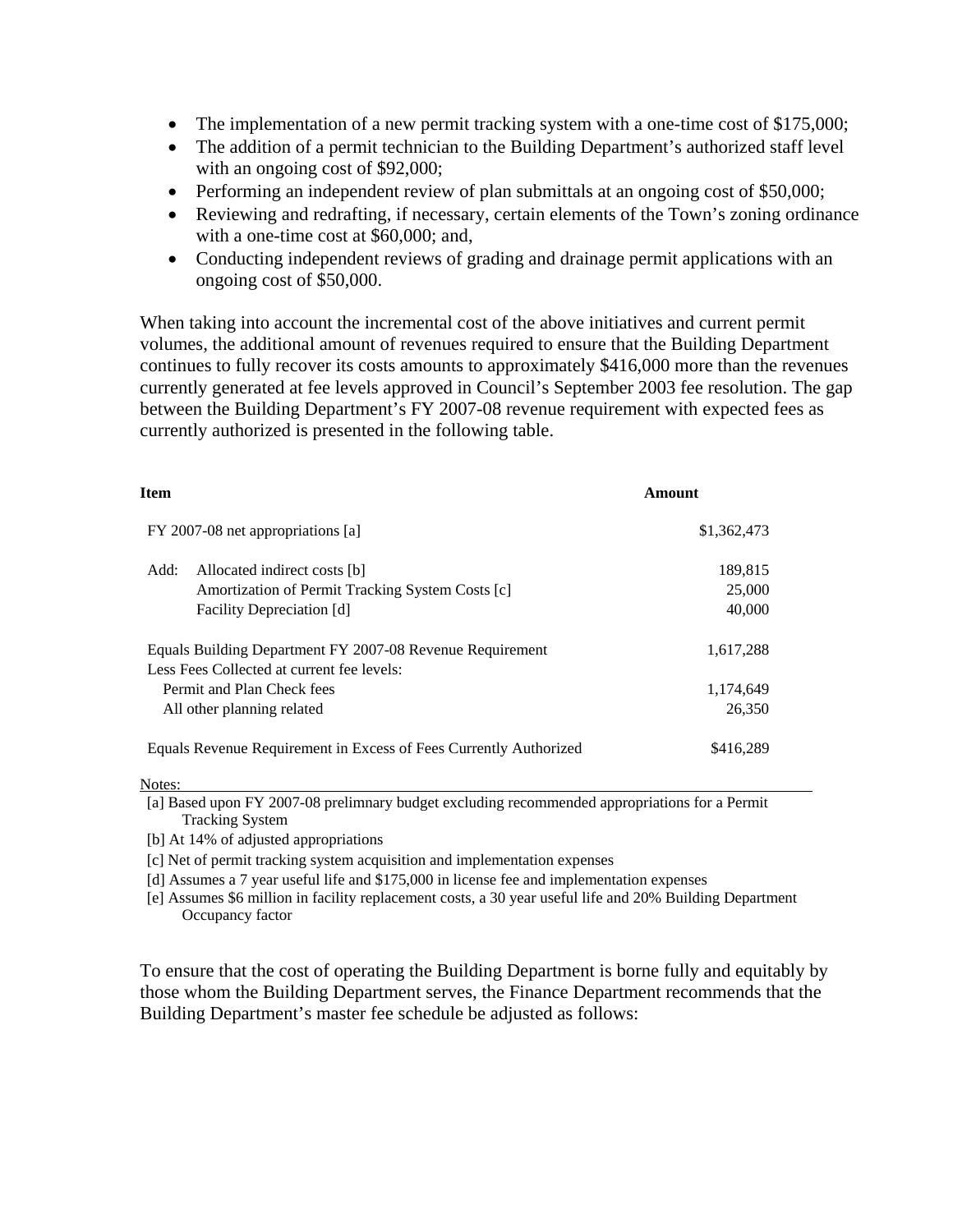- The implementation of a new permit tracking system with a one-time cost of \$175,000;
- The addition of a permit technician to the Building Department's authorized staff level with an ongoing cost of \$92,000;
- Performing an independent review of plan submittals at an ongoing cost of \$50,000;
- Reviewing and redrafting, if necessary, certain elements of the Town's zoning ordinance with a one-time cost at \$60,000; and,
- Conducting independent reviews of grading and drainage permit applications with an ongoing cost of \$50,000.

When taking into account the incremental cost of the above initiatives and current permit volumes, the additional amount of revenues required to ensure that the Building Department continues to fully recover its costs amounts to approximately \$416,000 more than the revenues currently generated at fee levels approved in Council's September 2003 fee resolution. The gap between the Building Department's FY 2007-08 revenue requirement with expected fees as currently authorized is presented in the following table.

| Item                                                              | Amount      |
|-------------------------------------------------------------------|-------------|
| FY 2007-08 net appropriations [a]                                 | \$1,362,473 |
| Add:<br>Allocated indirect costs [b]                              | 189,815     |
| Amortization of Permit Tracking System Costs [c]                  | 25,000      |
| Facility Depreciation [d]                                         | 40,000      |
| Equals Building Department FY 2007-08 Revenue Requirement         | 1,617,288   |
| Less Fees Collected at current fee levels:                        |             |
| Permit and Plan Check fees                                        | 1,174,649   |
| All other planning related                                        | 26,350      |
| Equals Revenue Requirement in Excess of Fees Currently Authorized | \$416,289   |

Notes:

[a] Based upon FY 2007-08 prelimnary budget excluding recommended appropriations for a Permit Tracking System

[b] At 14% of adjusted appropriations

[c] Net of permit tracking system acquisition and implementation expenses

[d] Assumes a 7 year useful life and \$175,000 in license fee and implementation expenses

[e] Assumes \$6 million in facility replacement costs, a 30 year useful life and 20% Building Department Occupancy factor

To ensure that the cost of operating the Building Department is borne fully and equitably by those whom the Building Department serves, the Finance Department recommends that the Building Department's master fee schedule be adjusted as follows: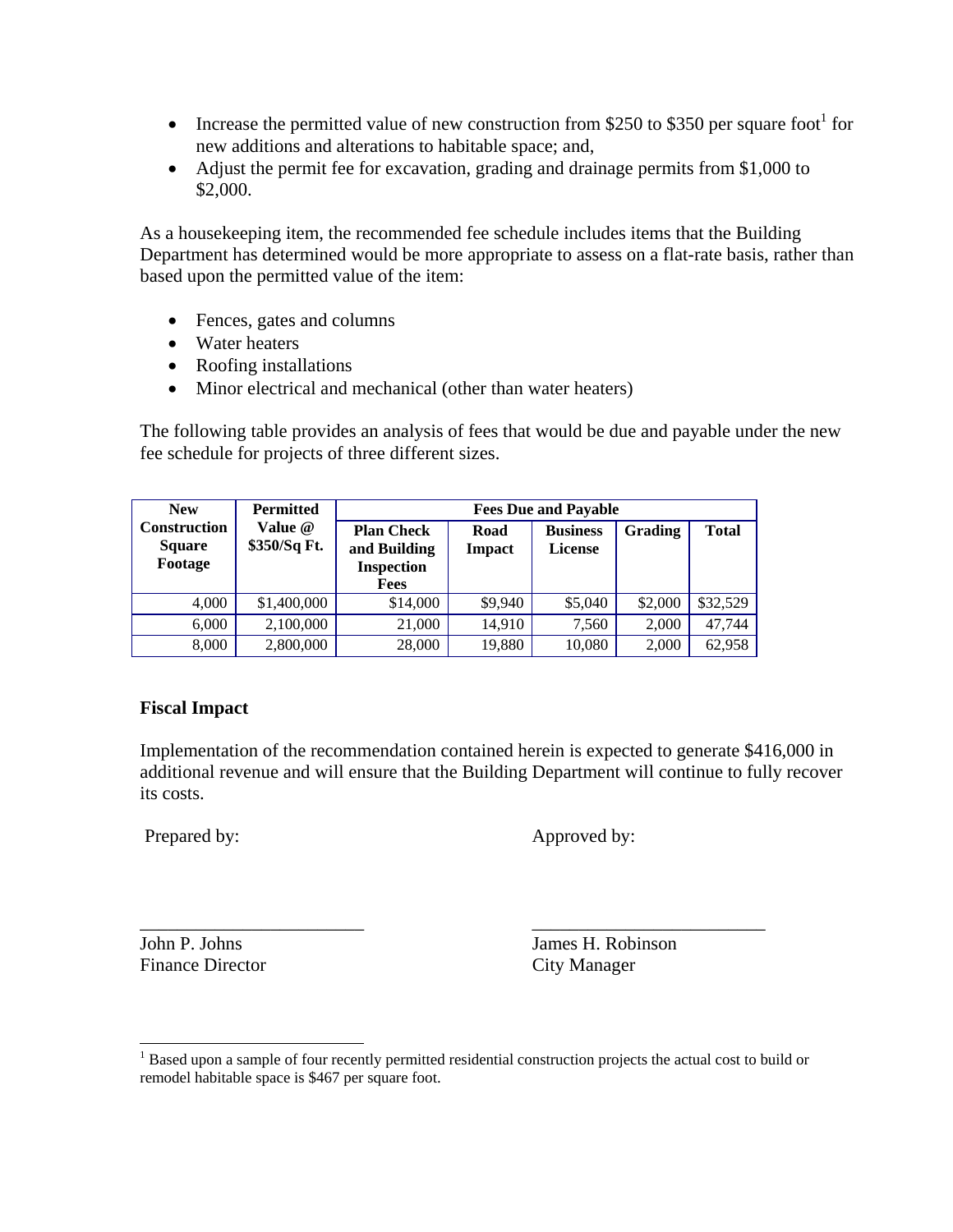- Increase the permitted value of new construction from \$250 to \$350 per square foot for new additions and alterations to habitable space; and,
- Adjust the permit fee for excavation, grading and drainage permits from \$1,000 to \$2,000.

As a housekeeping item, the recommended fee schedule includes items that the Building Department has determined would be more appropriate to assess on a flat-rate basis, rather than based upon the permitted value of the item:

- Fences, gates and columns
- Water heaters
- Roofing installations
- Minor electrical and mechanical (other than water heaters)

The following table provides an analysis of fees that would be due and payable under the new fee schedule for projects of three different sizes.

| <b>New</b>                                      | <b>Permitted</b>        | <b>Fees Due and Payable</b>                            |                       |                                   |                |              |
|-------------------------------------------------|-------------------------|--------------------------------------------------------|-----------------------|-----------------------------------|----------------|--------------|
| <b>Construction</b><br><b>Square</b><br>Footage | Value @<br>\$350/Sq Ft. | <b>Plan Check</b><br>and Building<br><b>Inspection</b> | Road<br><b>Impact</b> | <b>Business</b><br><b>License</b> | <b>Grading</b> | <b>Total</b> |
|                                                 |                         | <b>Fees</b>                                            |                       |                                   |                |              |
| 4,000                                           | \$1,400,000             | \$14,000                                               | \$9,940               | \$5,040                           | \$2,000        | \$32,529     |
| 6,000                                           | 2,100,000               | 21,000                                                 | 14,910                | 7,560                             | 2,000          | 47,744       |
| 8,000                                           | 2,800,000               | 28,000                                                 | 19,880                | 10,080                            | 2,000          | 62,958       |

## **Fiscal Impact**

Implementation of the recommendation contained herein is expected to generate \$416,000 in additional revenue and will ensure that the Building Department will continue to fully recover its costs.

Prepared by: Approved by:

\_\_\_\_\_\_\_\_\_\_\_\_\_\_\_\_\_\_\_\_\_\_\_\_ \_\_\_\_\_\_\_\_\_\_\_\_\_\_\_\_\_\_\_\_\_\_\_\_\_ Finance Director City Manager

 $\overline{a}$ 

John P. Johns James H. Robinson

<span id="page-4-0"></span><sup>&</sup>lt;sup>1</sup> Based upon a sample of four recently permitted residential construction projects the actual cost to build or remodel habitable space is \$467 per square foot.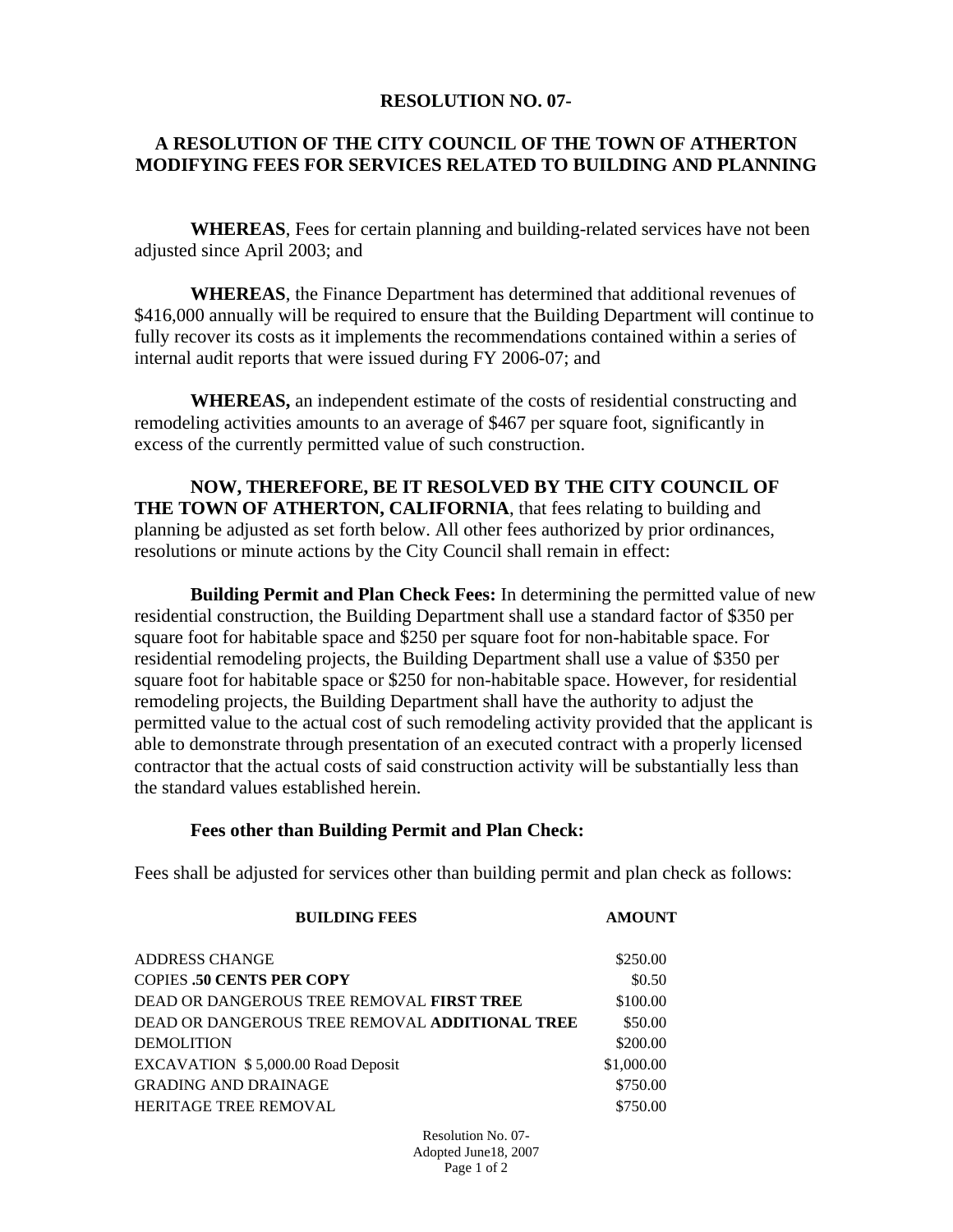#### **RESOLUTION NO. 07-**

### **A RESOLUTION OF THE CITY COUNCIL OF THE TOWN OF ATHERTON MODIFYING FEES FOR SERVICES RELATED TO BUILDING AND PLANNING**

 **WHEREAS**, Fees for certain planning and building-related services have not been adjusted since April 2003; and

 **WHEREAS**, the Finance Department has determined that additional revenues of \$416,000 annually will be required to ensure that the Building Department will continue to fully recover its costs as it implements the recommendations contained within a series of internal audit reports that were issued during FY 2006-07; and

 **WHEREAS,** an independent estimate of the costs of residential constructing and remodeling activities amounts to an average of \$467 per square foot, significantly in excess of the currently permitted value of such construction.

 **NOW, THEREFORE, BE IT RESOLVED BY THE CITY COUNCIL OF THE TOWN OF ATHERTON, CALIFORNIA**, that fees relating to building and planning be adjusted as set forth below. All other fees authorized by prior ordinances, resolutions or minute actions by the City Council shall remain in effect:

 **Building Permit and Plan Check Fees:** In determining the permitted value of new residential construction, the Building Department shall use a standard factor of \$350 per square foot for habitable space and \$250 per square foot for non-habitable space. For residential remodeling projects, the Building Department shall use a value of \$350 per square foot for habitable space or \$250 for non-habitable space. However, for residential remodeling projects, the Building Department shall have the authority to adjust the permitted value to the actual cost of such remodeling activity provided that the applicant is able to demonstrate through presentation of an executed contract with a properly licensed contractor that the actual costs of said construction activity will be substantially less than the standard values established herein.

#### **Fees other than Building Permit and Plan Check:**

Fees shall be adjusted for services other than building permit and plan check as follows:

| <b>BUILDING FEES</b>                           | <b>AMOUNT</b> |
|------------------------------------------------|---------------|
| ADDRESS CHANGE                                 | \$250.00      |
| <b>COPIES .50 CENTS PER COPY</b>               | \$0.50        |
| DEAD OR DANGEROUS TREE REMOVAL FIRST TREE      | \$100.00      |
| DEAD OR DANGEROUS TREE REMOVAL ADDITIONAL TREE | \$50.00       |
| <b>DEMOLITION</b>                              | \$200.00      |
| EXCAVATION \$5,000.00 Road Deposit             | \$1,000.00    |
| <b>GRADING AND DRAINAGE</b>                    | \$750.00      |
| <b>HERITAGE TREE REMOVAL</b>                   | \$750.00      |

Resolution No. 07- Adopted June18, 2007 Page 1 of 2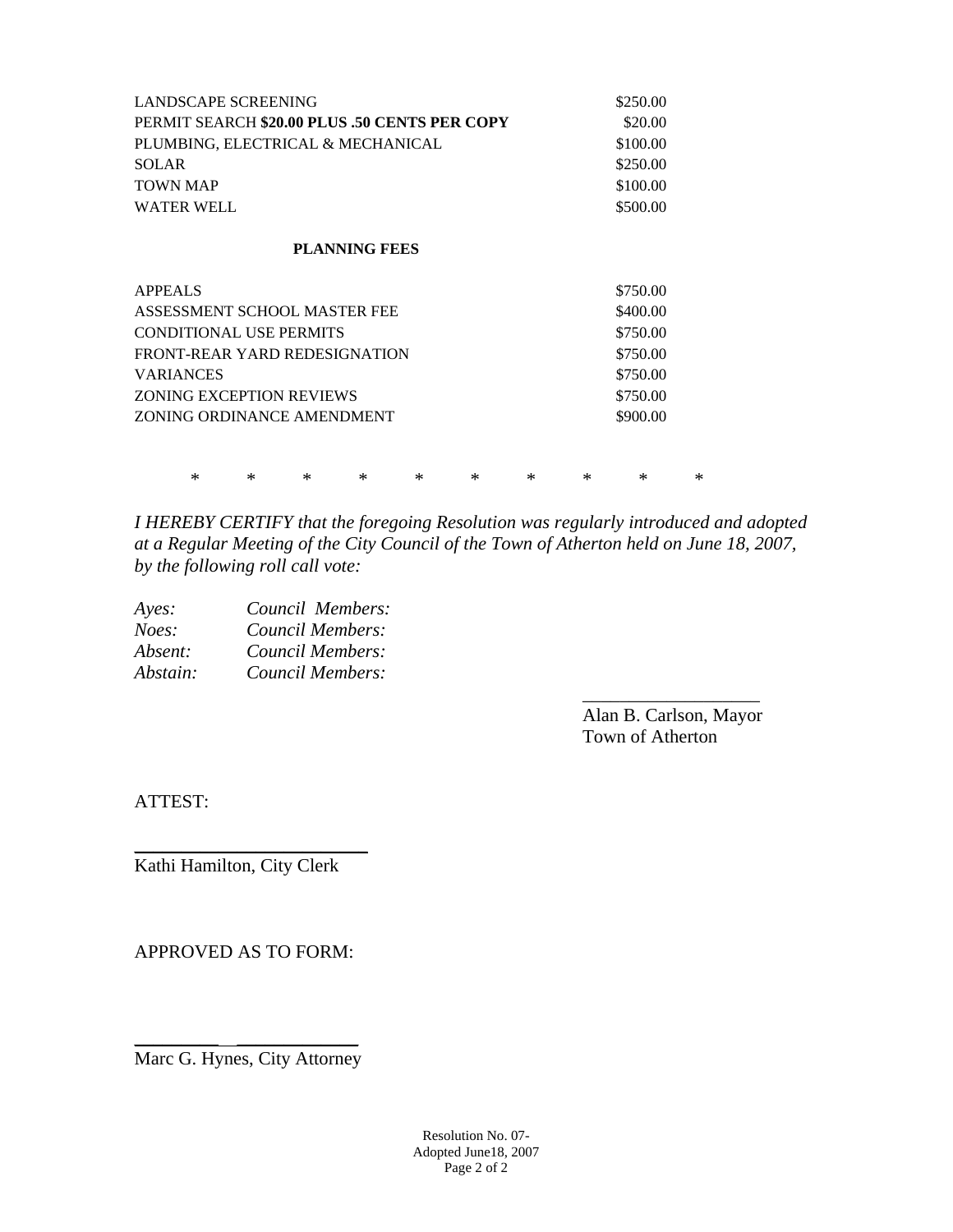| LANDSCAPE SCREENING                           |        |        |                                |                      |   |        |   | \$250.00 |          |        |
|-----------------------------------------------|--------|--------|--------------------------------|----------------------|---|--------|---|----------|----------|--------|
| PERMIT SEARCH \$20.00 PLUS .50 CENTS PER COPY |        |        |                                |                      |   |        |   |          | \$20.00  |        |
| PLUMBING, ELECTRICAL & MECHANICAL             |        |        |                                |                      |   |        |   |          | \$100.00 |        |
| <b>SOLAR</b>                                  |        |        |                                |                      |   |        |   |          | \$250.00 |        |
| <b>TOWN MAP</b>                               |        |        |                                |                      |   |        |   |          | \$100.00 |        |
| <b>WATER WELL</b>                             |        |        |                                |                      |   |        |   | \$500.00 |          |        |
|                                               |        |        |                                | <b>PLANNING FEES</b> |   |        |   |          |          |        |
| <b>APPEALS</b>                                |        |        |                                |                      |   |        |   |          | \$750.00 |        |
|                                               |        |        | ASSESSMENT SCHOOL MASTER FEE   |                      |   |        |   |          | \$400.00 |        |
|                                               |        |        | <b>CONDITIONAL USE PERMITS</b> |                      |   |        |   |          | \$750.00 |        |
|                                               |        |        | FRONT-REAR YARD REDESIGNATION  |                      |   |        |   |          | \$750.00 |        |
| <b>VARIANCES</b>                              |        |        |                                |                      |   |        |   |          | \$750.00 |        |
|                                               |        |        | ZONING EXCEPTION REVIEWS       |                      |   |        |   |          | \$750.00 |        |
| ZONING ORDINANCE AMENDMENT                    |        |        |                                |                      |   |        |   |          | \$900.00 |        |
|                                               |        |        |                                |                      |   |        |   |          |          |        |
|                                               | $\ast$ | $\ast$ | $\ast$                         | ∗                    | ∗ | $\ast$ | ∗ | $\ast$   | ∗        | $\ast$ |

*I HEREBY CERTIFY that the foregoing Resolution was regularly introduced and adopted at a Regular Meeting of the City Council of the Town of Atherton held on June 18, 2007, by the following roll call vote:* 

| Ayes:    | Council Members: |  |
|----------|------------------|--|
| Noes:    | Council Members: |  |
| Absent:  | Council Members: |  |
| Abstain: | Council Members: |  |
|          |                  |  |

 Alan B. Carlson, Mayor Town of Atherton

ATTEST:

Kathi Hamilton, City Clerk

\_\_\_\_\_\_\_\_\_\_\_\_\_\_\_\_\_\_\_\_\_\_\_\_\_

APPROVED AS TO FORM:

\_\_\_\_\_\_\_\_\_ \_\_\_\_\_\_\_\_\_\_\_\_\_ Marc G. Hynes, City Attorney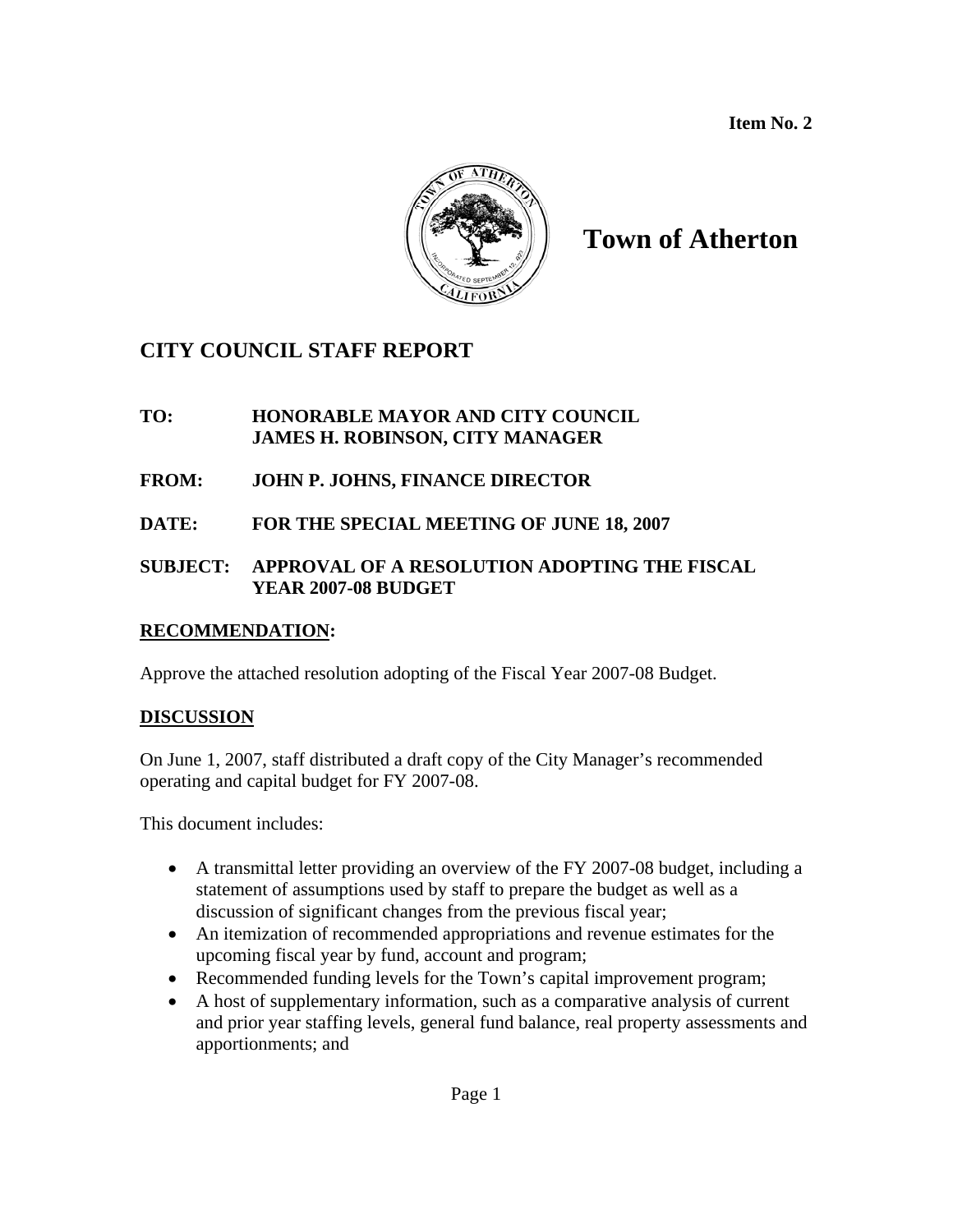**Item No. 2** 



# **Town of Atherton**

## **CITY COUNCIL STAFF REPORT**

## **TO: HONORABLE MAYOR AND CITY COUNCIL JAMES H. ROBINSON, CITY MANAGER**

## **FROM: JOHN P. JOHNS, FINANCE DIRECTOR**

**DATE: FOR THE SPECIAL MEETING OF JUNE 18, 2007** 

## **SUBJECT: APPROVAL OF A RESOLUTION ADOPTING THE FISCAL YEAR 2007-08 BUDGET**

## **RECOMMENDATION:**

Approve the attached resolution adopting of the Fiscal Year 2007-08 Budget.

## **DISCUSSION**

On June 1, 2007, staff distributed a draft copy of the City Manager's recommended operating and capital budget for FY 2007-08.

This document includes:

- A transmittal letter providing an overview of the FY 2007-08 budget, including a statement of assumptions used by staff to prepare the budget as well as a discussion of significant changes from the previous fiscal year;
- An itemization of recommended appropriations and revenue estimates for the upcoming fiscal year by fund, account and program;
- Recommended funding levels for the Town's capital improvement program;
- A host of supplementary information, such as a comparative analysis of current and prior year staffing levels, general fund balance, real property assessments and apportionments; and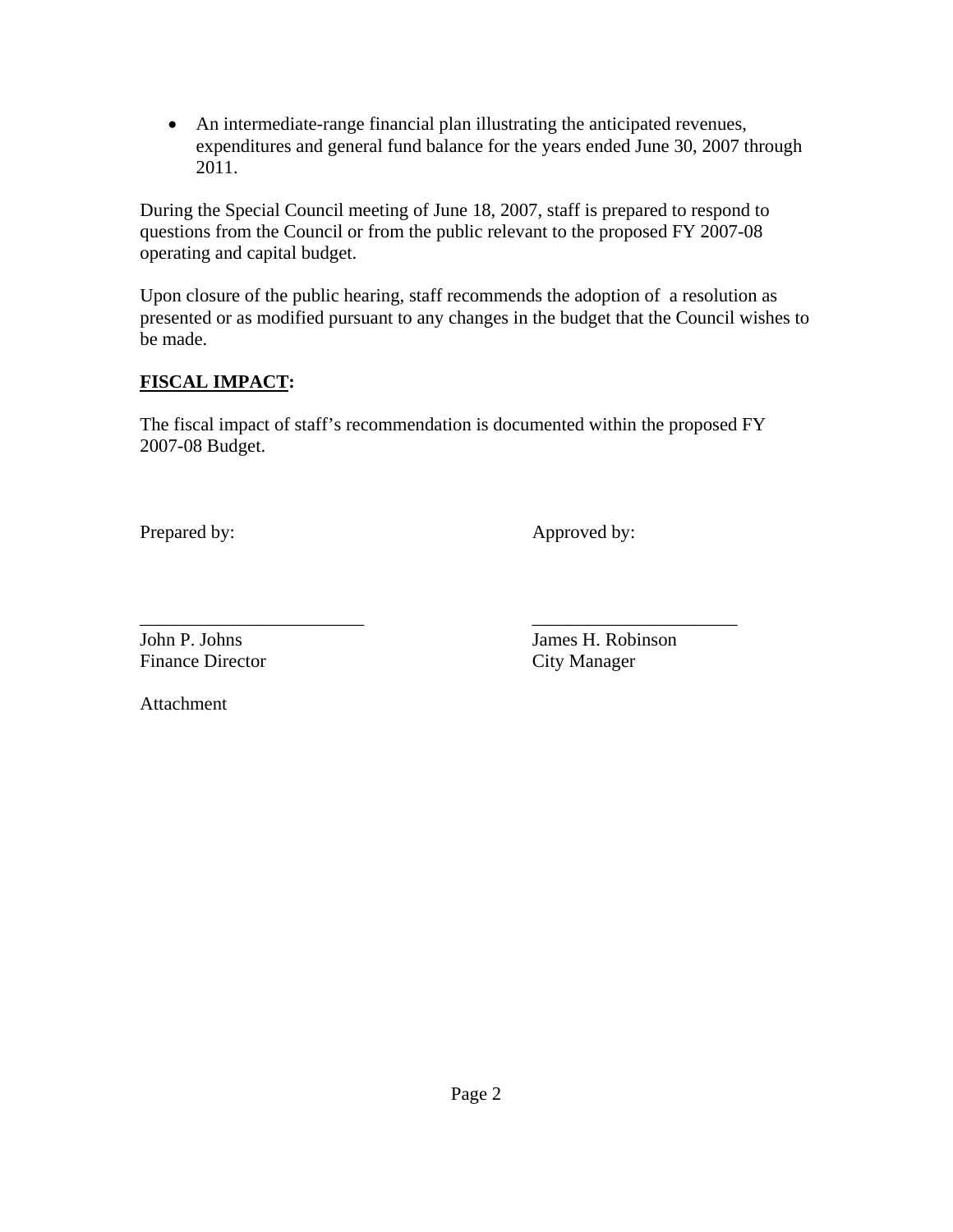• An intermediate-range financial plan illustrating the anticipated revenues, expenditures and general fund balance for the years ended June 30, 2007 through 2011.

During the Special Council meeting of June 18, 2007, staff is prepared to respond to questions from the Council or from the public relevant to the proposed FY 2007-08 operating and capital budget.

Upon closure of the public hearing, staff recommends the adoption of a resolution as presented or as modified pursuant to any changes in the budget that the Council wishes to be made.

## **FISCAL IMPACT:**

The fiscal impact of staff's recommendation is documented within the proposed FY 2007-08 Budget.

Prepared by: Approved by:

Finance Director City Manager

\_\_\_\_\_\_\_\_\_\_\_\_\_\_\_\_\_\_\_\_\_\_\_\_ \_\_\_\_\_\_\_\_\_\_\_\_\_\_\_\_\_\_\_\_\_\_ John P. Johns James H. Robinson

Attachment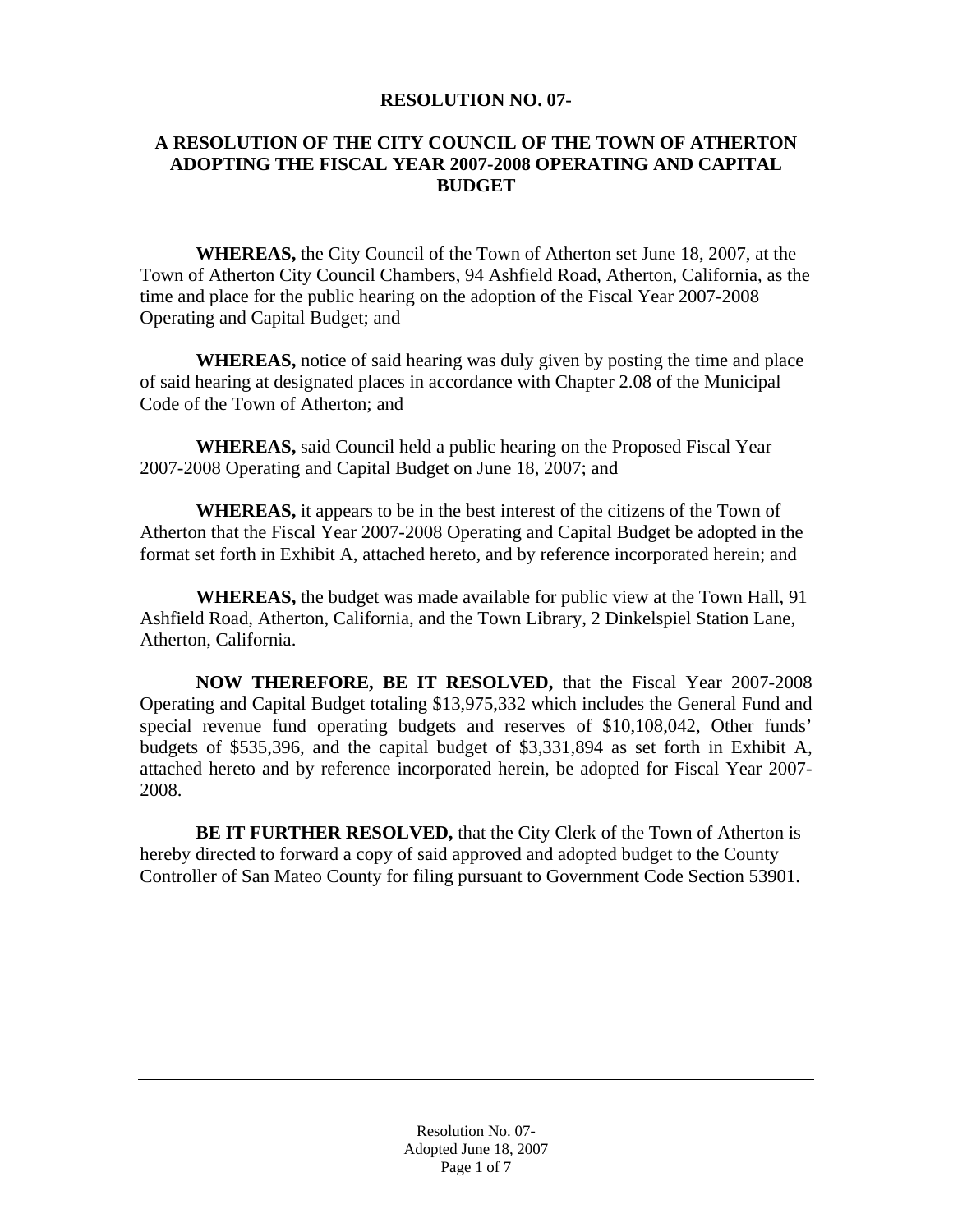#### **RESOLUTION NO. 07-**

## **A RESOLUTION OF THE CITY COUNCIL OF THE TOWN OF ATHERTON ADOPTING THE FISCAL YEAR 2007-2008 OPERATING AND CAPITAL BUDGET**

**WHEREAS,** the City Council of the Town of Atherton set June 18, 2007, at the Town of Atherton City Council Chambers, 94 Ashfield Road, Atherton, California, as the time and place for the public hearing on the adoption of the Fiscal Year 2007-2008 Operating and Capital Budget; and

**WHEREAS,** notice of said hearing was duly given by posting the time and place of said hearing at designated places in accordance with Chapter 2.08 of the Municipal Code of the Town of Atherton; and

 **WHEREAS,** said Council held a public hearing on the Proposed Fiscal Year 2007-2008 Operating and Capital Budget on June 18, 2007; and

**WHEREAS,** it appears to be in the best interest of the citizens of the Town of Atherton that the Fiscal Year 2007-2008 Operating and Capital Budget be adopted in the format set forth in Exhibit A, attached hereto, and by reference incorporated herein; and

 **WHEREAS,** the budget was made available for public view at the Town Hall, 91 Ashfield Road, Atherton, California, and the Town Library, 2 Dinkelspiel Station Lane, Atherton, California.

**NOW THEREFORE, BE IT RESOLVED,** that the Fiscal Year 2007-2008 Operating and Capital Budget totaling \$13,975,332 which includes the General Fund and special revenue fund operating budgets and reserves of \$10,108,042, Other funds' budgets of \$535,396, and the capital budget of \$3,331,894 as set forth in Exhibit A, attached hereto and by reference incorporated herein, be adopted for Fiscal Year 2007- 2008.

**BE IT FURTHER RESOLVED,** that the City Clerk of the Town of Atherton is hereby directed to forward a copy of said approved and adopted budget to the County Controller of San Mateo County for filing pursuant to Government Code Section 53901.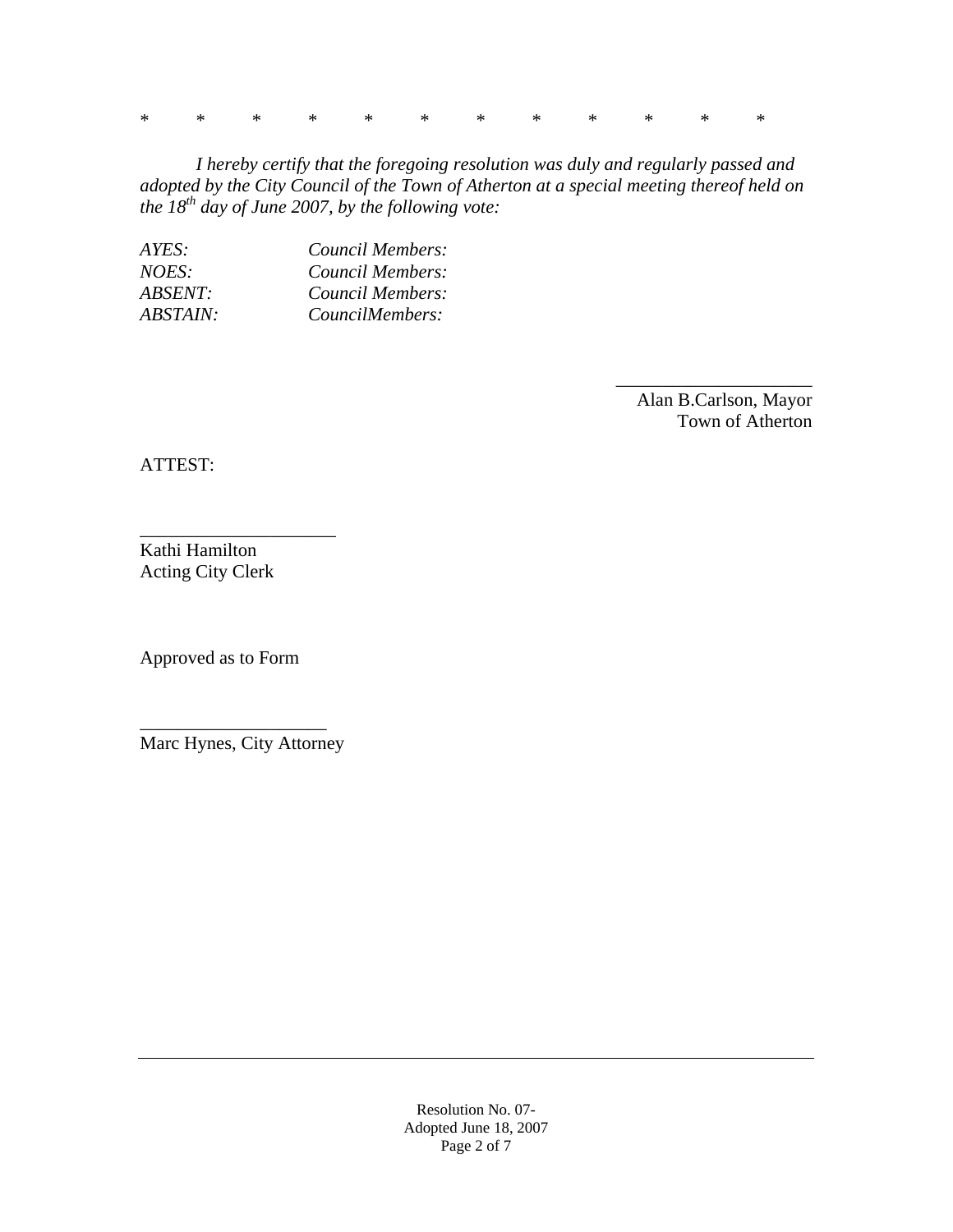\* \* \* \* \* \* \* \* \* \* \* \*

 *I hereby certify that the foregoing resolution was duly and regularly passed and adopted by the City Council of the Town of Atherton at a special meeting thereof held on the 18th day of June 2007, by the following vote:* 

| AYES:          | Council Members: |
|----------------|------------------|
| <i>NOES:</i>   | Council Members: |
| <i>ABSENT:</i> | Council Members: |
| ABSTAIN:       | CouncilMembers:  |

 Alan B.Carlson, Mayor Town of Atherton

\_\_\_\_\_\_\_\_\_\_\_\_\_\_\_\_\_\_\_\_\_

ATTEST:

Kathi Hamilton Acting City Clerk

\_\_\_\_\_\_\_\_\_\_\_\_\_\_\_\_\_\_\_\_\_

Approved as to Form

\_\_\_\_\_\_\_\_\_\_\_\_\_\_\_\_\_\_\_\_ Marc Hynes, City Attorney

> Resolution No. 07- Adopted June 18, 2007 Page 2 of 7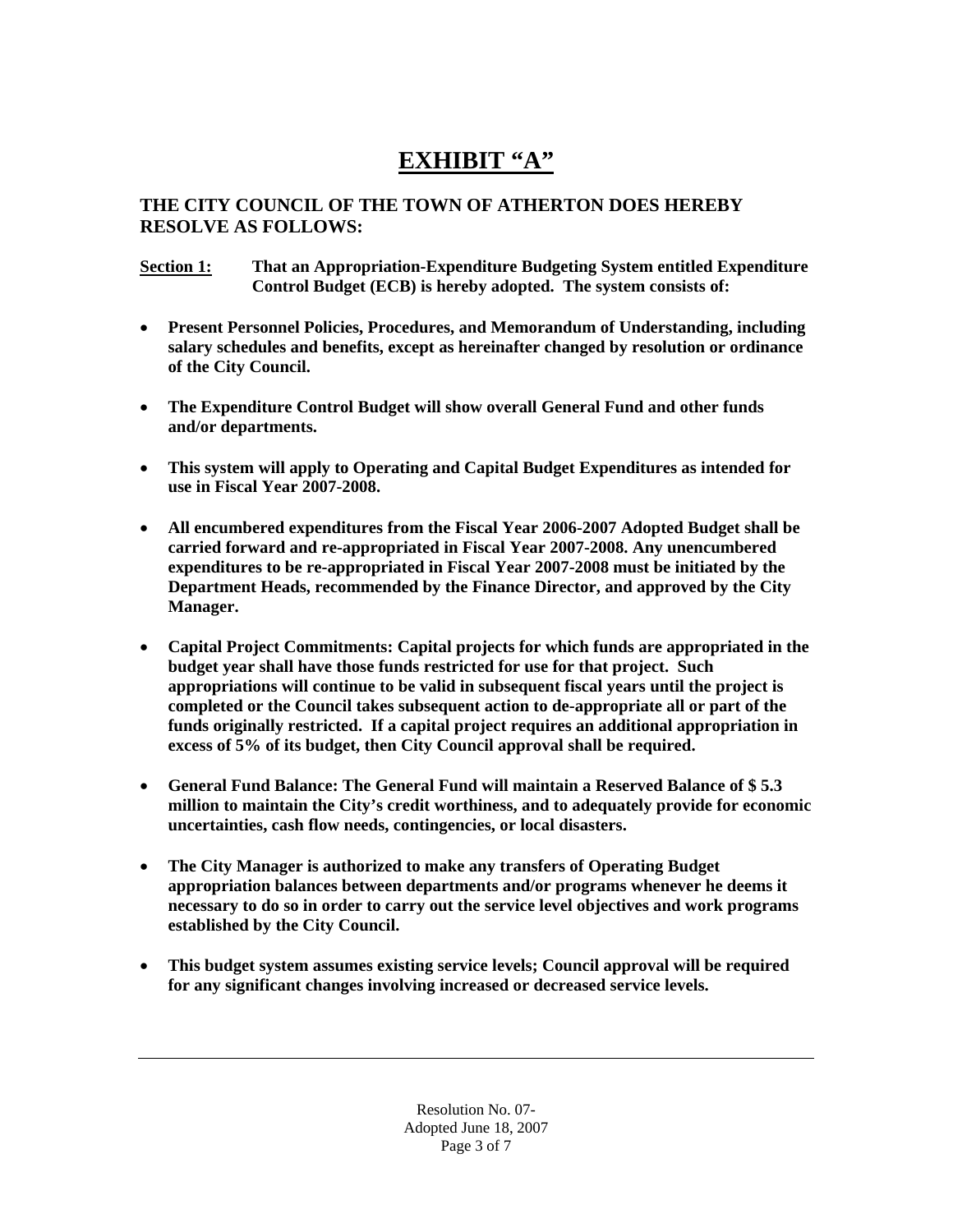# **EXHIBIT "A"**

## **THE CITY COUNCIL OF THE TOWN OF ATHERTON DOES HEREBY RESOLVE AS FOLLOWS:**

**Section 1: That an Appropriation-Expenditure Budgeting System entitled Expenditure Control Budget (ECB) is hereby adopted. The system consists of:** 

- **Present Personnel Policies, Procedures, and Memorandum of Understanding, including salary schedules and benefits, except as hereinafter changed by resolution or ordinance of the City Council.**
- **The Expenditure Control Budget will show overall General Fund and other funds and/or departments.**
- **This system will apply to Operating and Capital Budget Expenditures as intended for use in Fiscal Year 2007-2008.**
- **All encumbered expenditures from the Fiscal Year 2006-2007 Adopted Budget shall be carried forward and re-appropriated in Fiscal Year 2007-2008. Any unencumbered expenditures to be re-appropriated in Fiscal Year 2007-2008 must be initiated by the Department Heads, recommended by the Finance Director, and approved by the City Manager.**
- **Capital Project Commitments: Capital projects for which funds are appropriated in the budget year shall have those funds restricted for use for that project. Such appropriations will continue to be valid in subsequent fiscal years until the project is completed or the Council takes subsequent action to de-appropriate all or part of the funds originally restricted. If a capital project requires an additional appropriation in excess of 5% of its budget, then City Council approval shall be required.**
- **General Fund Balance: The General Fund will maintain a Reserved Balance of \$ 5.3 million to maintain the City's credit worthiness, and to adequately provide for economic uncertainties, cash flow needs, contingencies, or local disasters.**
- **The City Manager is authorized to make any transfers of Operating Budget appropriation balances between departments and/or programs whenever he deems it necessary to do so in order to carry out the service level objectives and work programs established by the City Council.**
- **This budget system assumes existing service levels; Council approval will be required for any significant changes involving increased or decreased service levels.**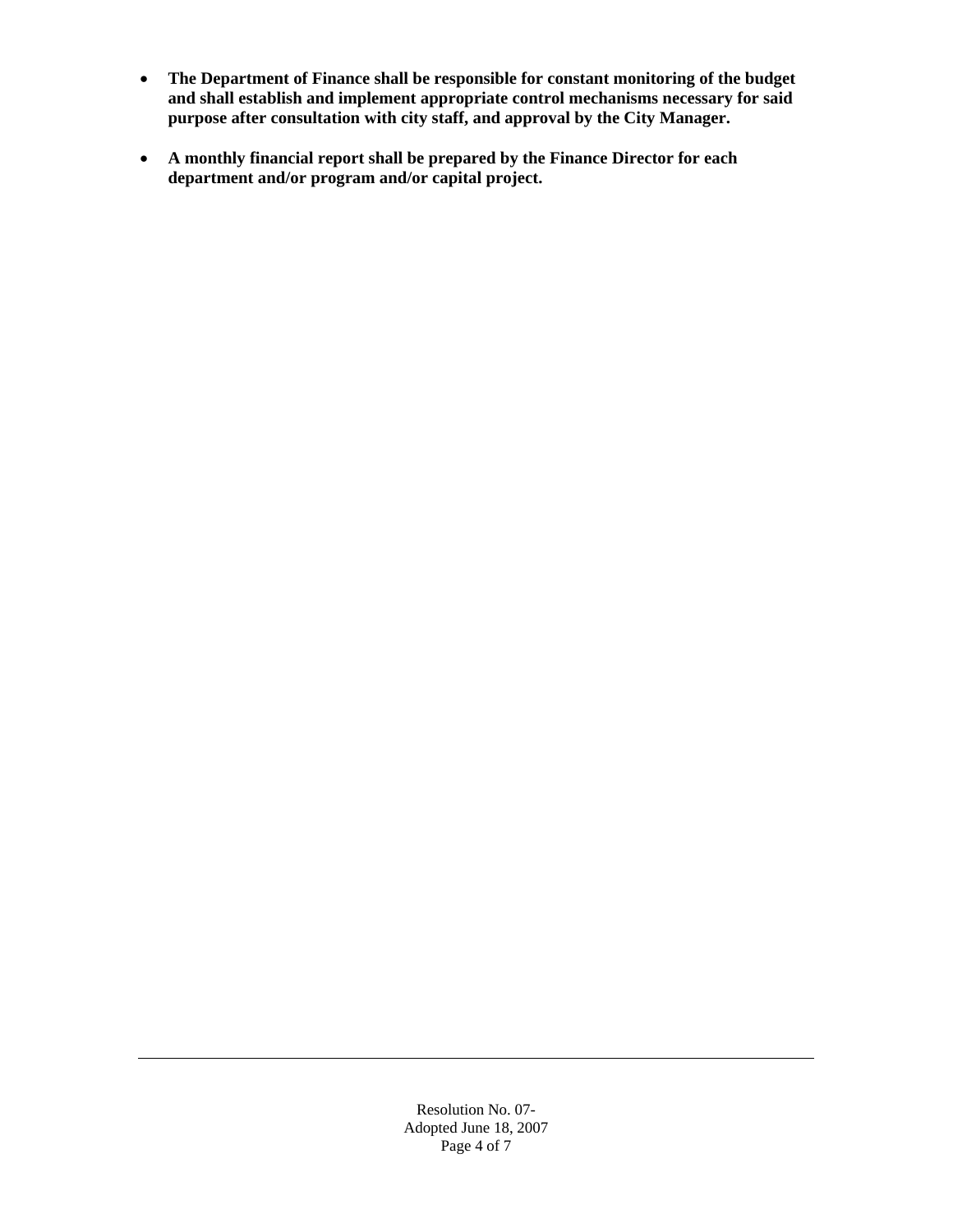- **The Department of Finance shall be responsible for constant monitoring of the budget and shall establish and implement appropriate control mechanisms necessary for said purpose after consultation with city staff, and approval by the City Manager.**
- **A monthly financial report shall be prepared by the Finance Director for each department and/or program and/or capital project.**

Resolution No. 07- Adopted June 18, 2007 Page 4 of 7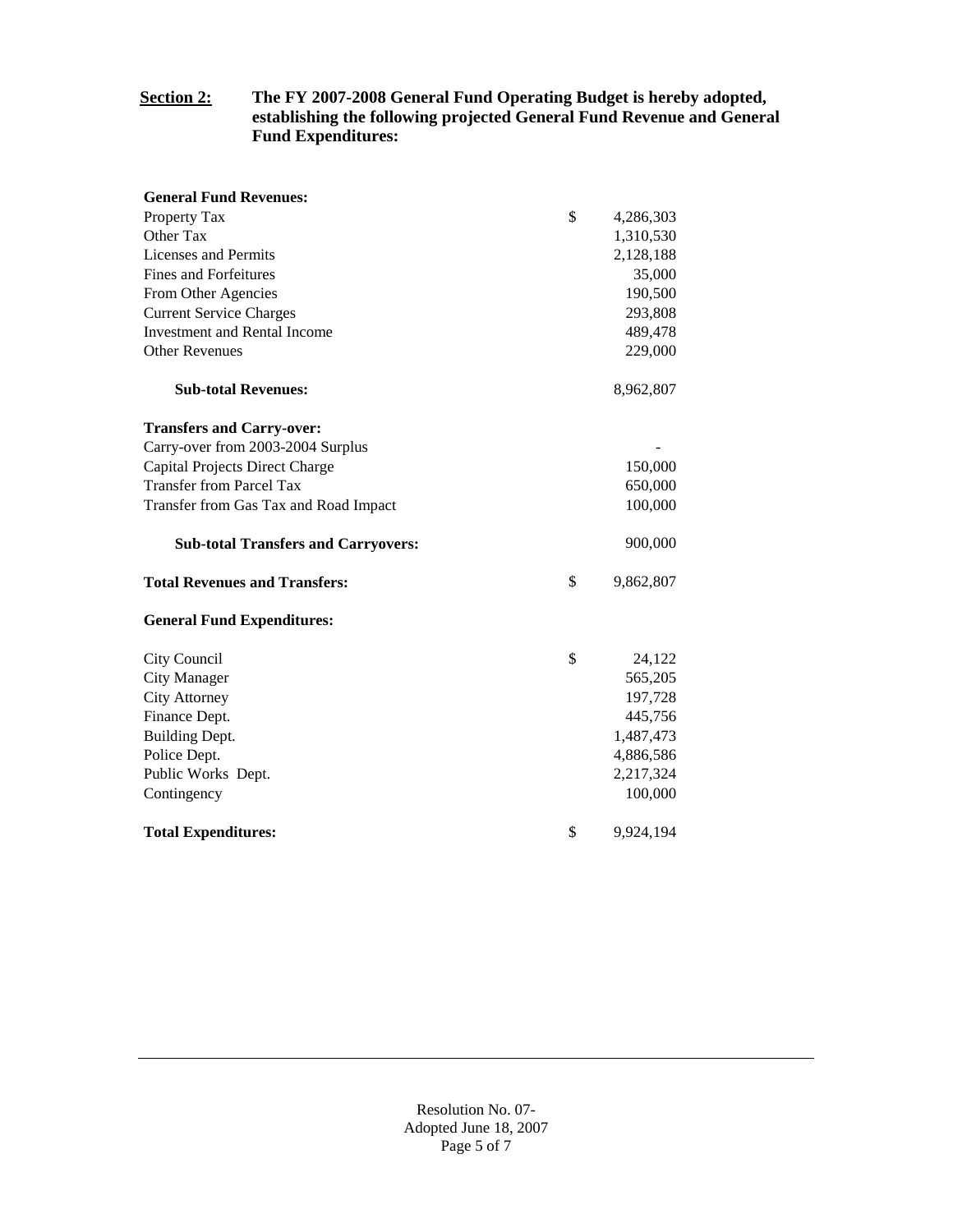#### **Section 2: The FY 2007-2008 General Fund Operating Budget is hereby adopted, establishing the following projected General Fund Revenue and General Fund Expenditures:**

| <b>General Fund Revenues:</b>              |                 |
|--------------------------------------------|-----------------|
| Property Tax                               | \$<br>4,286,303 |
| Other Tax                                  | 1,310,530       |
| Licenses and Permits                       | 2,128,188       |
| <b>Fines and Forfeitures</b>               | 35,000          |
| From Other Agencies                        | 190,500         |
| <b>Current Service Charges</b>             | 293,808         |
| <b>Investment and Rental Income</b>        | 489,478         |
| <b>Other Revenues</b>                      | 229,000         |
| <b>Sub-total Revenues:</b>                 | 8,962,807       |
| <b>Transfers and Carry-over:</b>           |                 |
| Carry-over from 2003-2004 Surplus          |                 |
| Capital Projects Direct Charge             | 150,000         |
| <b>Transfer from Parcel Tax</b>            | 650,000         |
| Transfer from Gas Tax and Road Impact      | 100,000         |
|                                            |                 |
| <b>Sub-total Transfers and Carryovers:</b> | 900,000         |
| <b>Total Revenues and Transfers:</b>       | \$<br>9,862,807 |
| <b>General Fund Expenditures:</b>          |                 |
| City Council                               | \$<br>24,122    |
| <b>City Manager</b>                        | 565,205         |
| <b>City Attorney</b>                       | 197,728         |
| Finance Dept.                              | 445,756         |
| Building Dept.                             | 1,487,473       |
| Police Dept.                               | 4,886,586       |
| Public Works Dept.                         | 2,217,324       |
| Contingency                                | 100,000         |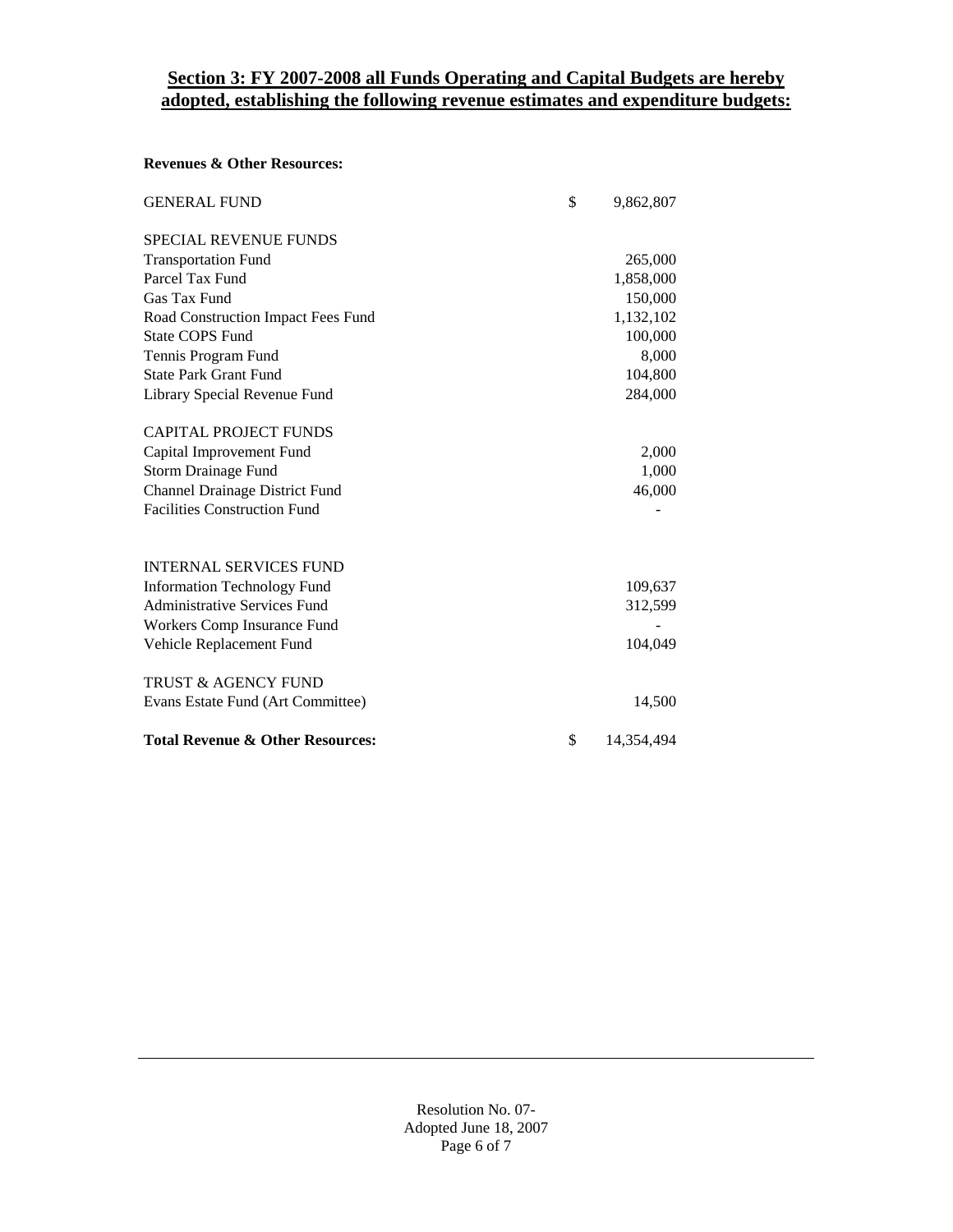## **Section 3: FY 2007-2008 all Funds Operating and Capital Budgets are hereby adopted, establishing the following revenue estimates and expenditure budgets:**

#### **Revenues & Other Resources:**

| <b>GENERAL FUND</b>                         | \$<br>9,862,807  |
|---------------------------------------------|------------------|
| <b>SPECIAL REVENUE FUNDS</b>                |                  |
| <b>Transportation Fund</b>                  | 265,000          |
| Parcel Tax Fund                             | 1,858,000        |
| Gas Tax Fund                                | 150,000          |
| Road Construction Impact Fees Fund          | 1,132,102        |
| <b>State COPS Fund</b>                      | 100,000          |
| Tennis Program Fund                         | 8,000            |
| <b>State Park Grant Fund</b>                | 104,800          |
| Library Special Revenue Fund                | 284,000          |
| <b>CAPITAL PROJECT FUNDS</b>                |                  |
| Capital Improvement Fund                    | 2,000            |
| Storm Drainage Fund                         | 1,000            |
| <b>Channel Drainage District Fund</b>       | 46,000           |
| <b>Facilities Construction Fund</b>         |                  |
| <b>INTERNAL SERVICES FUND</b>               |                  |
| <b>Information Technology Fund</b>          | 109,637          |
| <b>Administrative Services Fund</b>         | 312,599          |
| Workers Comp Insurance Fund                 |                  |
| Vehicle Replacement Fund                    | 104,049          |
| <b>TRUST &amp; AGENCY FUND</b>              |                  |
| Evans Estate Fund (Art Committee)           | 14,500           |
| <b>Total Revenue &amp; Other Resources:</b> | \$<br>14,354,494 |

Resolution No. 07- Adopted June 18, 2007 Page 6 of 7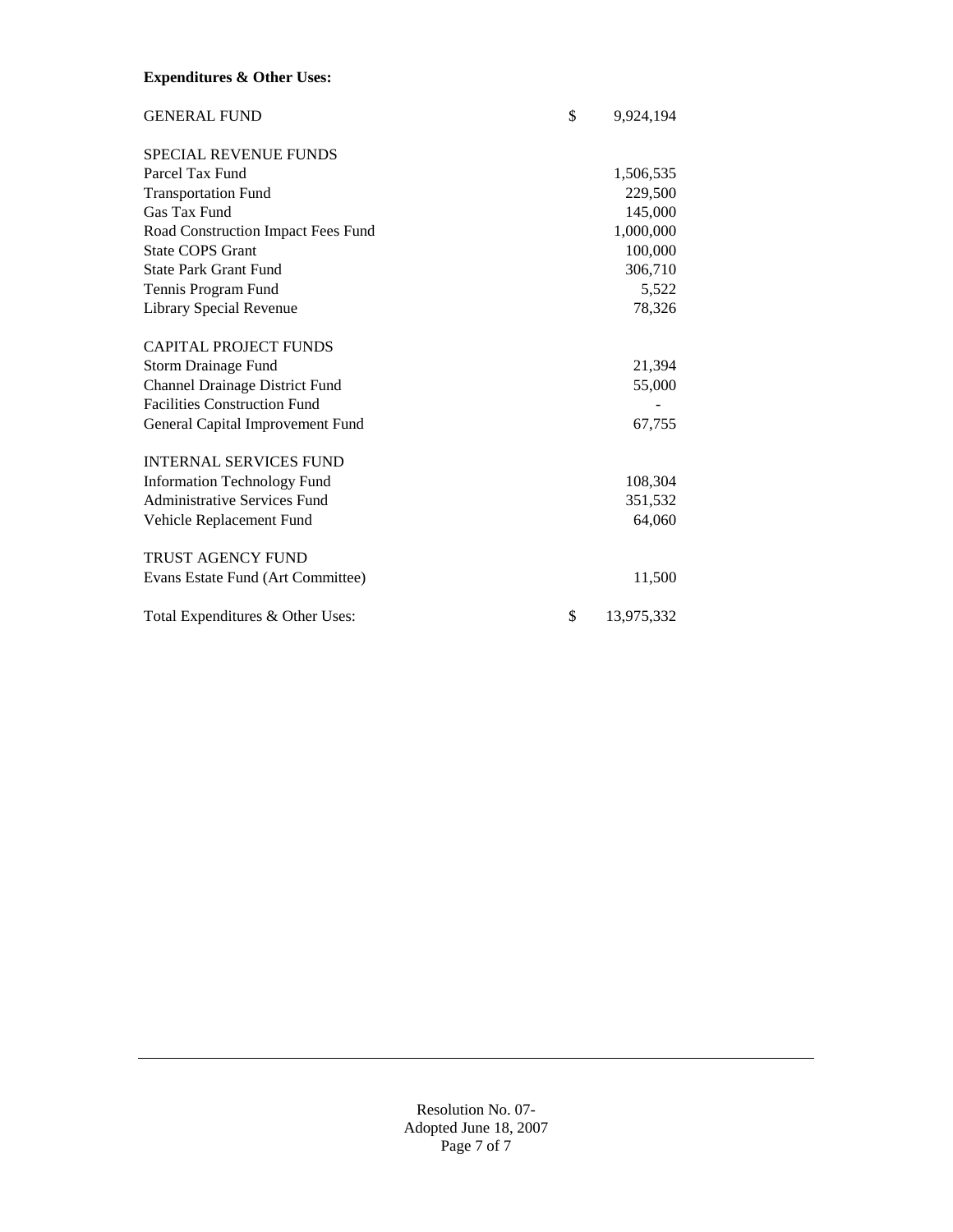### **Expenditures & Other Uses:**

| <b>GENERAL FUND</b>                 | \$<br>9,924,194  |
|-------------------------------------|------------------|
| <b>SPECIAL REVENUE FUNDS</b>        |                  |
| Parcel Tax Fund                     | 1,506,535        |
| <b>Transportation Fund</b>          | 229,500          |
| Gas Tax Fund                        | 145,000          |
| Road Construction Impact Fees Fund  | 1,000,000        |
| <b>State COPS Grant</b>             | 100,000          |
| <b>State Park Grant Fund</b>        | 306,710          |
| Tennis Program Fund                 | 5,522            |
| Library Special Revenue             | 78,326           |
| <b>CAPITAL PROJECT FUNDS</b>        |                  |
| Storm Drainage Fund                 | 21,394           |
| Channel Drainage District Fund      | 55,000           |
| <b>Facilities Construction Fund</b> |                  |
| General Capital Improvement Fund    | 67,755           |
| <b>INTERNAL SERVICES FUND</b>       |                  |
| <b>Information Technology Fund</b>  | 108,304          |
| <b>Administrative Services Fund</b> | 351,532          |
| Vehicle Replacement Fund            | 64,060           |
| <b>TRUST AGENCY FUND</b>            |                  |
| Evans Estate Fund (Art Committee)   | 11,500           |
| Total Expenditures & Other Uses:    | \$<br>13,975,332 |

Resolution No. 07- Adopted June 18, 2007 Page 7 of 7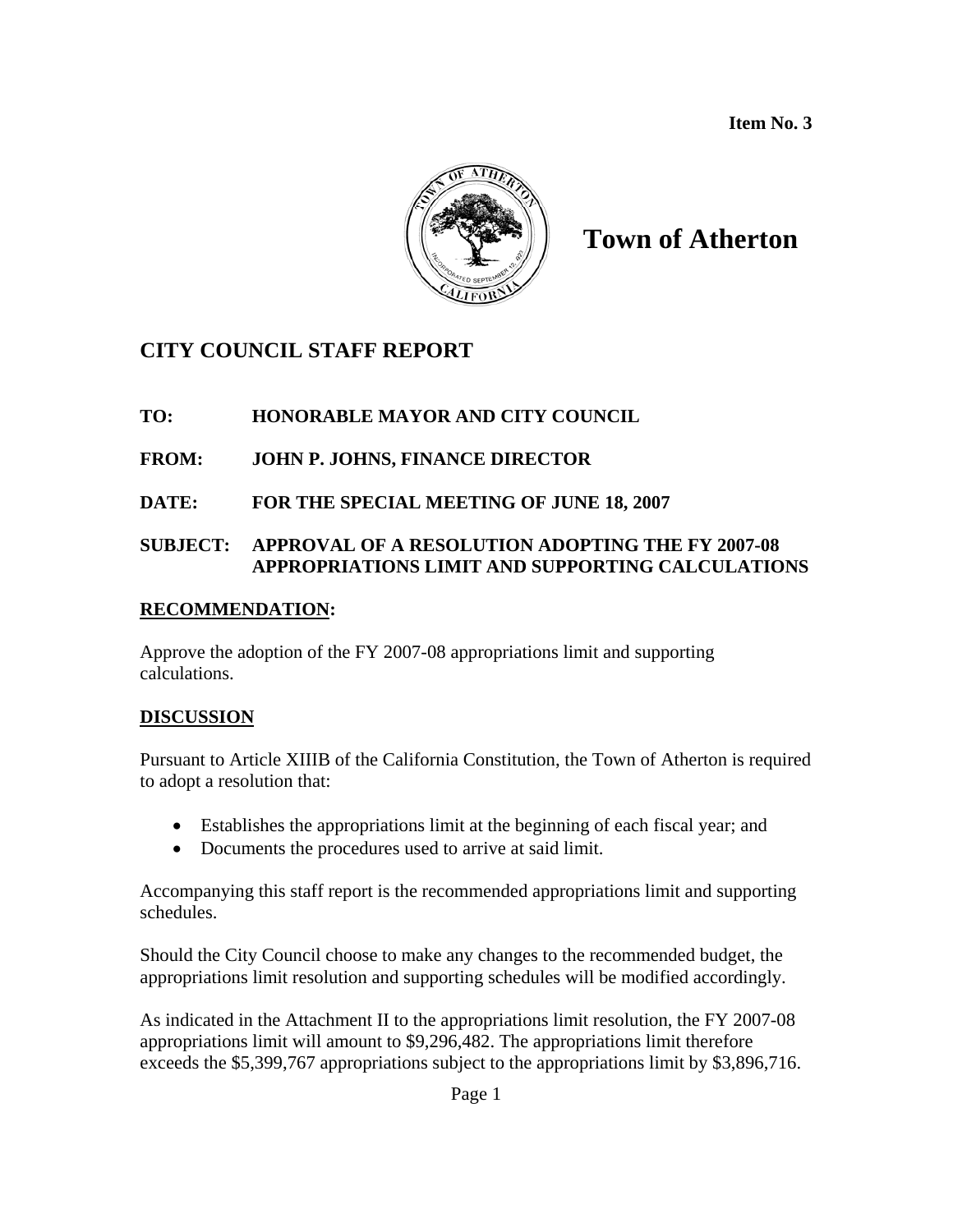**Item No. 3** 



# **Town of Atherton**

## **CITY COUNCIL STAFF REPORT**

## **TO: HONORABLE MAYOR AND CITY COUNCIL**

## **FROM: JOHN P. JOHNS, FINANCE DIRECTOR**

**DATE: FOR THE SPECIAL MEETING OF JUNE 18, 2007** 

## **SUBJECT: APPROVAL OF A RESOLUTION ADOPTING THE FY 2007-08 APPROPRIATIONS LIMIT AND SUPPORTING CALCULATIONS**

## **RECOMMENDATION:**

Approve the adoption of the FY 2007-08 appropriations limit and supporting calculations.

## **DISCUSSION**

Pursuant to Article XIIIB of the California Constitution, the Town of Atherton is required to adopt a resolution that:

- Establishes the appropriations limit at the beginning of each fiscal year; and
- Documents the procedures used to arrive at said limit.

Accompanying this staff report is the recommended appropriations limit and supporting schedules.

Should the City Council choose to make any changes to the recommended budget, the appropriations limit resolution and supporting schedules will be modified accordingly.

As indicated in the Attachment II to the appropriations limit resolution, the FY 2007-08 appropriations limit will amount to \$9,296,482. The appropriations limit therefore exceeds the \$5,399,767 appropriations subject to the appropriations limit by \$3,896,716.

Page 1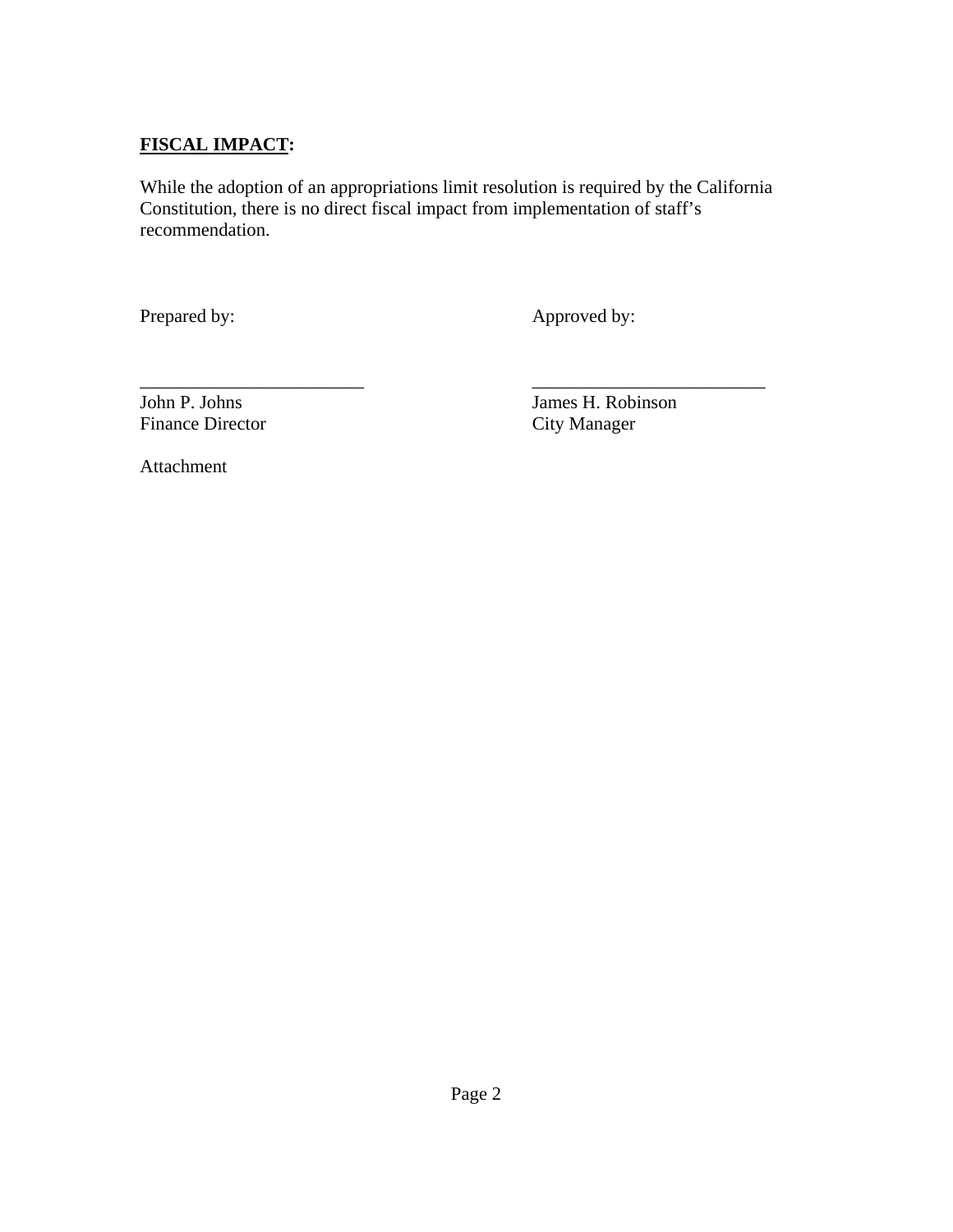## **FISCAL IMPACT:**

While the adoption of an appropriations limit resolution is required by the California Constitution, there is no direct fiscal impact from implementation of staff's recommendation.

Prepared by: Approved by:

Finance Director

\_\_\_\_\_\_\_\_\_\_\_\_\_\_\_\_\_\_\_\_\_\_\_\_ *\_\_\_\_\_\_\_\_\_\_\_\_\_\_\_\_\_\_*\_\_\_\_\_\_\_ John P. Johns<br>
Finance Director<br>
City Manager<br>
City Manager

Attachment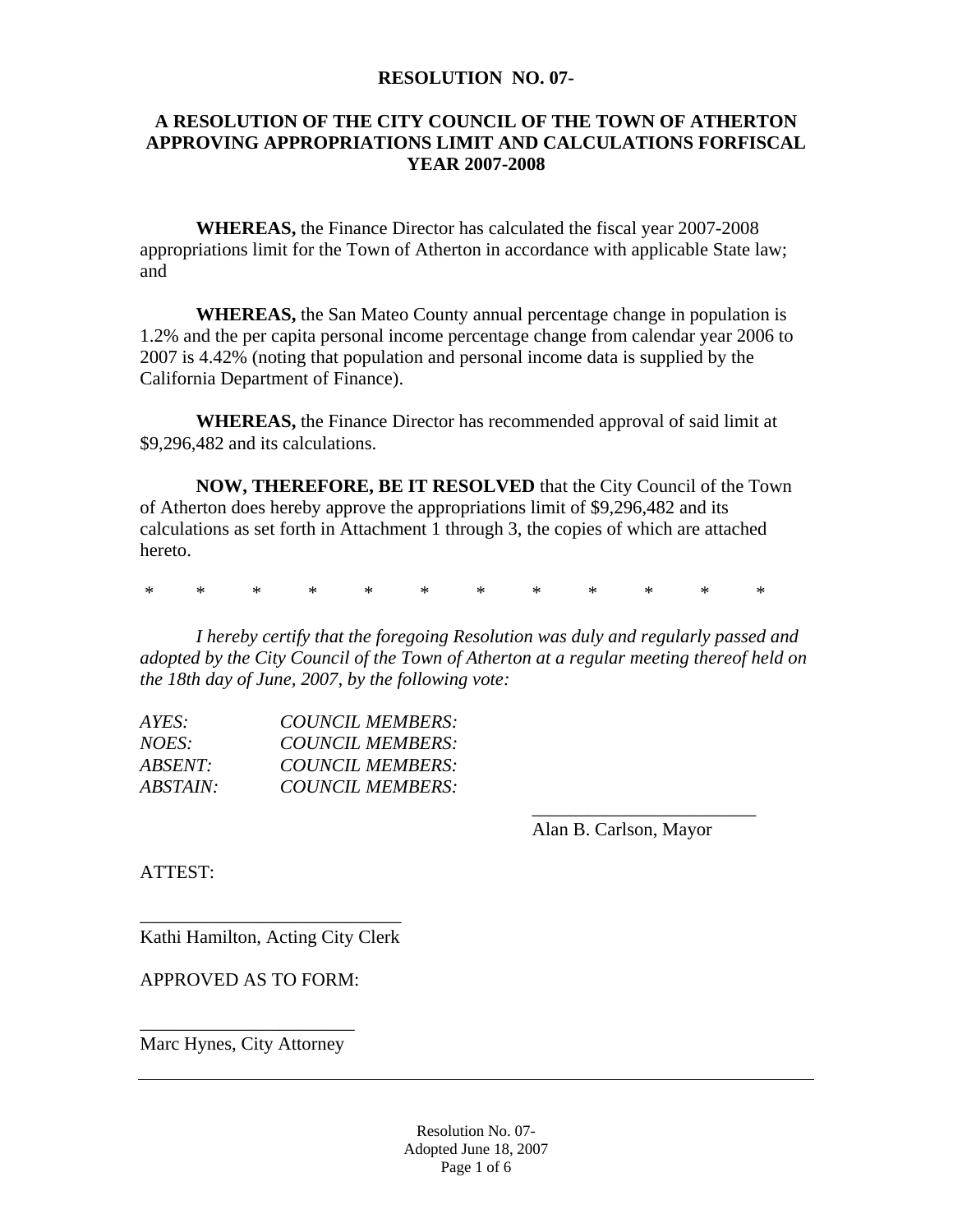#### **RESOLUTION NO. 07-**

### **A RESOLUTION OF THE CITY COUNCIL OF THE TOWN OF ATHERTON APPROVING APPROPRIATIONS LIMIT AND CALCULATIONS FORFISCAL YEAR 2007-2008**

**WHEREAS,** the Finance Director has calculated the fiscal year 2007-2008 appropriations limit for the Town of Atherton in accordance with applicable State law; and

**WHEREAS,** the San Mateo County annual percentage change in population is 1.2% and the per capita personal income percentage change from calendar year 2006 to 2007 is 4.42% (noting that population and personal income data is supplied by the California Department of Finance).

**WHEREAS,** the Finance Director has recommended approval of said limit at \$9,296,482 and its calculations.

**NOW, THEREFORE, BE IT RESOLVED** that the City Council of the Town of Atherton does hereby approve the appropriations limit of \$9,296,482 and its calculations as set forth in Attachment 1 through 3, the copies of which are attached hereto.

\* \* \* \* \* \* \* \* \* \* \* \*

*I hereby certify that the foregoing Resolution was duly and regularly passed and adopted by the City Council of the Town of Atherton at a regular meeting thereof held on the 18th day of June, 2007, by the following vote:* 

| AYES:          | COUNCIL MEMBERS:        |  |
|----------------|-------------------------|--|
| <i>NOES:</i>   | COUNCIL MEMBERS:        |  |
| <i>ABSENT:</i> | <b>COUNCIL MEMBERS:</b> |  |
| ABSTAIN:       | COUNCIL MEMBERS:        |  |
|                |                         |  |

Alan B. Carlson, Mayor

ATTEST:

\_\_\_\_\_\_\_\_\_\_\_\_\_\_\_\_\_\_\_\_\_\_\_\_\_\_\_\_ Kathi Hamilton, Acting City Clerk

APPROVED AS TO FORM:

\_\_\_\_\_\_\_\_\_\_\_\_\_\_\_\_\_\_\_\_\_\_\_ Marc Hynes, City Attorney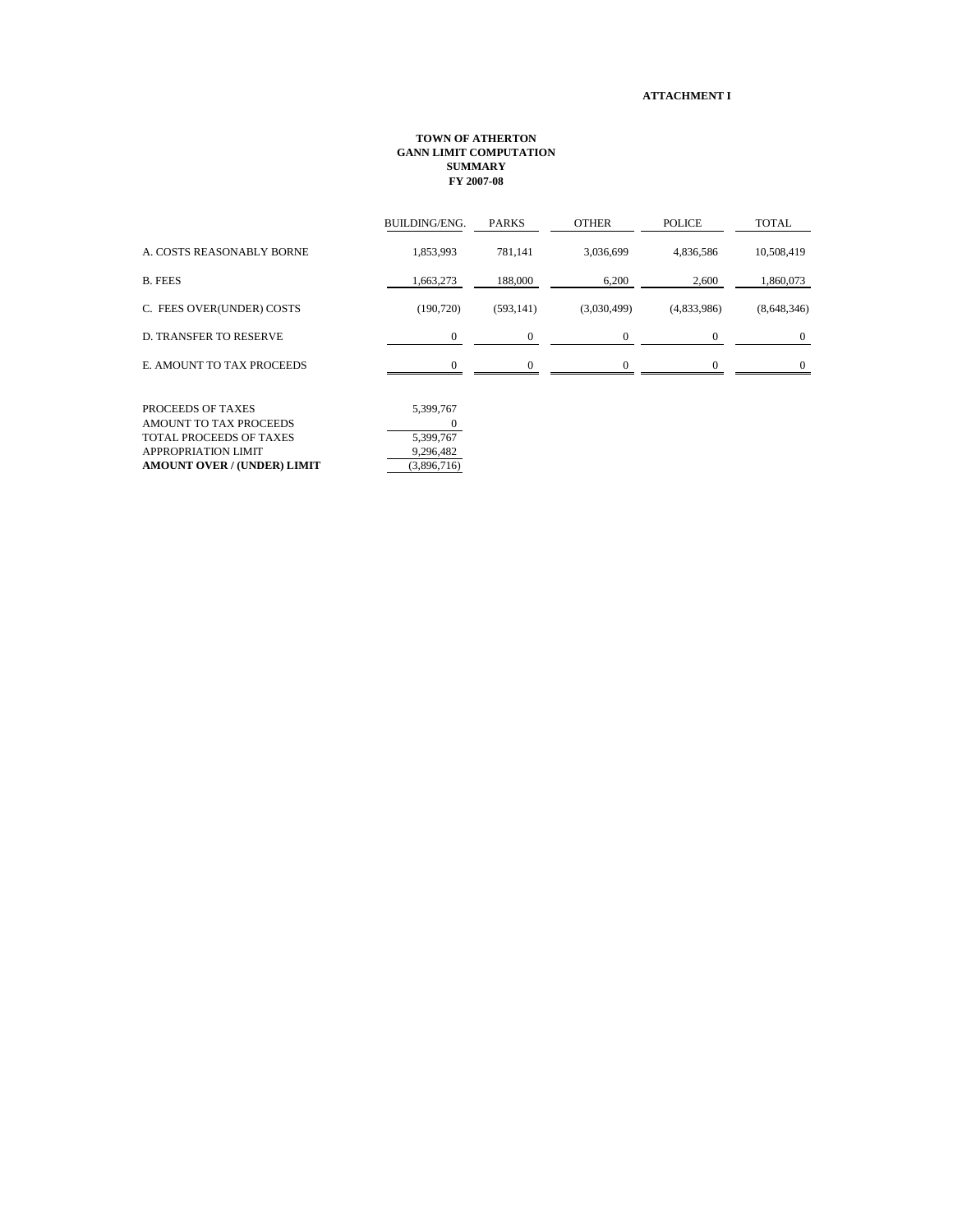#### **ATTACHMENT I**

#### **TOWN OF ATHERTON GANN LIMIT COMPUTATION SUMMARY FY 2007-08**

| <b>BUILDING/ENG.</b> | <b>PARKS</b> | <b>OTHER</b> | <b>POLICE</b> | <b>TOTAL</b> |
|----------------------|--------------|--------------|---------------|--------------|
| 1,853,993            | 781,141      | 3,036,699    | 4,836,586     | 10,508,419   |
| 1,663,273            | 188,000      | 6,200        | 2,600         | 1,860,073    |
| (190, 720)           | (593, 141)   | (3,030,499)  | (4,833,986)   | (8,648,346)  |
| $\Omega$             | 0            | $\mathbf{0}$ | 0             | $\mathbf{0}$ |
|                      |              |              | $\Omega$      | $\Omega$     |
|                      |              |              |               |              |
|                      |              |              |               |              |

| <b>PROCEEDS OF TAXES</b>           | 5.399.767   |
|------------------------------------|-------------|
| AMOUNT TO TAX PROCEEDS             |             |
| <b>TOTAL PROCEEDS OF TAXES</b>     | 5.399.767   |
| APPROPRIATION LIMIT                | 9.296.482   |
| <b>AMOUNT OVER / (UNDER) LIMIT</b> | (3,896,716) |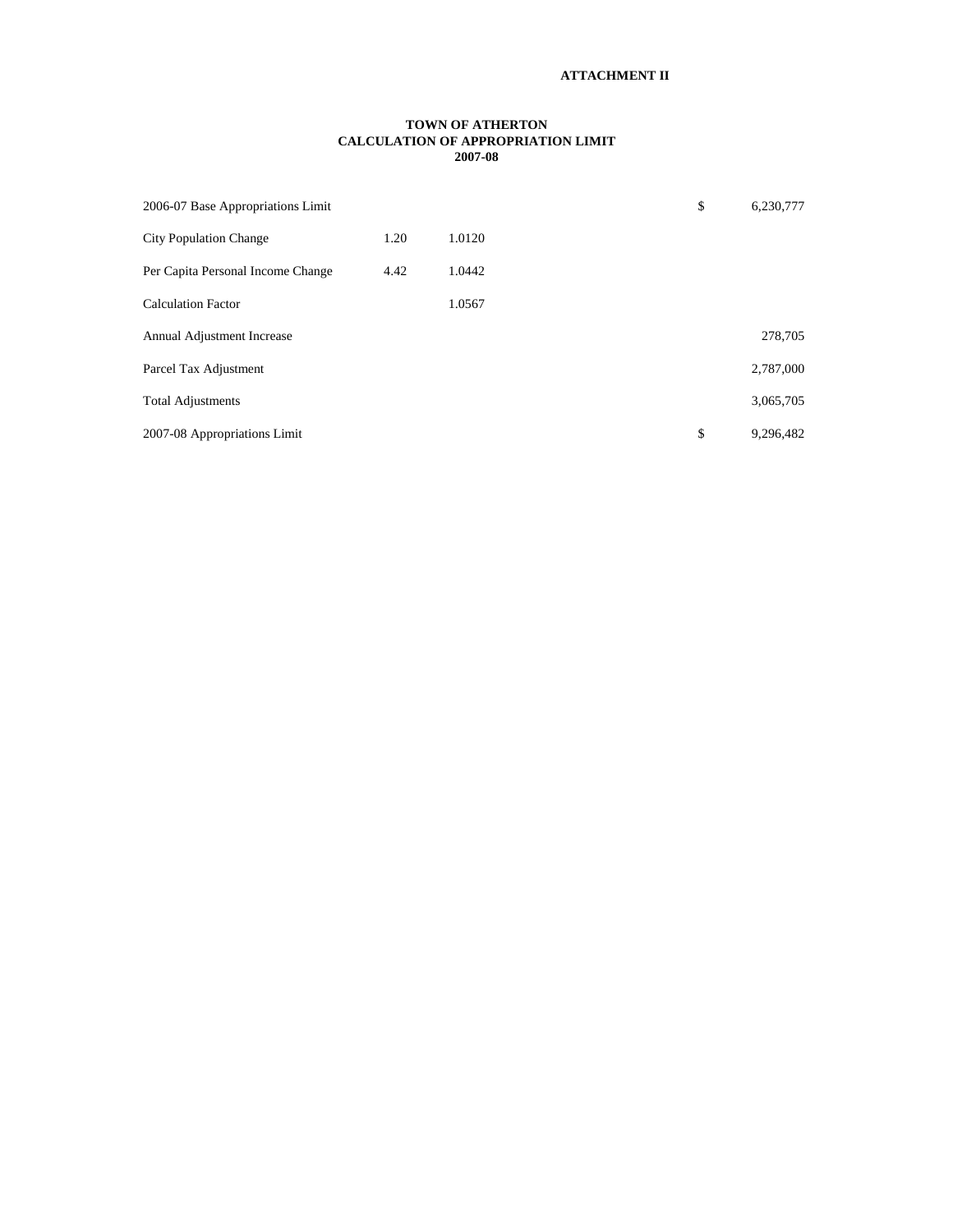#### **TOWN OF ATHERTON CALCULATION OF APPROPRIATION LIMIT 2007-08**

| 2006-07 Base Appropriations Limit |      |        | \$<br>6,230,777 |
|-----------------------------------|------|--------|-----------------|
| <b>City Population Change</b>     | 1.20 | 1.0120 |                 |
| Per Capita Personal Income Change | 4.42 | 1.0442 |                 |
| <b>Calculation Factor</b>         |      | 1.0567 |                 |
| Annual Adjustment Increase        |      |        | 278,705         |
| Parcel Tax Adjustment             |      |        | 2,787,000       |
| <b>Total Adjustments</b>          |      |        | 3,065,705       |
| 2007-08 Appropriations Limit      |      |        | \$<br>9,296,482 |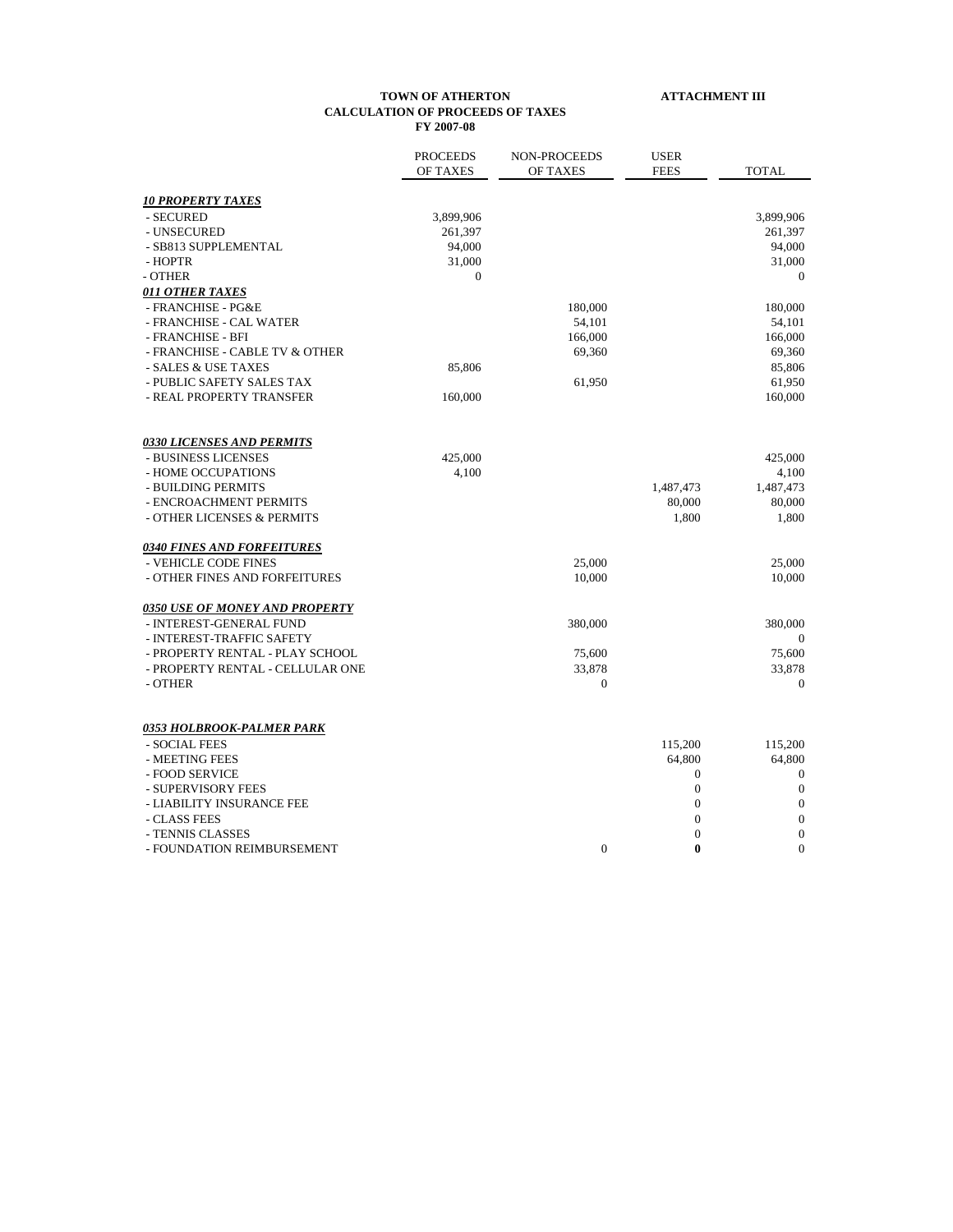#### **TOWN OF ATHERTON ATTACHMENT III CALCULATION OF PROCEEDS OF TAXES FY 2007-08**

|                                       | <b>PROCEEDS</b><br>OF TAXES | <b>NON-PROCEEDS</b><br>OF TAXES | <b>USER</b><br><b>FEES</b> | <b>TOTAL</b>     |
|---------------------------------------|-----------------------------|---------------------------------|----------------------------|------------------|
| <b>10 PROPERTY TAXES</b>              |                             |                                 |                            |                  |
| - SECURED                             | 3,899,906                   |                                 |                            | 3,899,906        |
| - UNSECURED                           | 261,397                     |                                 |                            | 261,397          |
| - SB813 SUPPLEMENTAL                  | 94,000                      |                                 |                            | 94,000           |
| - HOPTR                               | 31,000                      |                                 |                            | 31,000           |
| - OTHER                               | $\overline{0}$              |                                 |                            | $\mathbf{0}$     |
| <u>011 OTHER TAXES</u>                |                             |                                 |                            |                  |
| - FRANCHISE - PG&E                    |                             | 180,000                         |                            | 180,000          |
| - FRANCHISE - CAL WATER               |                             | 54,101                          |                            | 54,101           |
| - FRANCHISE - BFI                     |                             | 166,000                         |                            | 166,000          |
| - FRANCHISE - CABLE TV & OTHER        |                             | 69,360                          |                            | 69,360           |
| - SALES & USE TAXES                   | 85,806                      |                                 |                            | 85,806           |
| - PUBLIC SAFETY SALES TAX             |                             | 61,950                          |                            | 61,950           |
| - REAL PROPERTY TRANSFER              | 160,000                     |                                 |                            | 160,000          |
| <b>0330 LICENSES AND PERMITS</b>      |                             |                                 |                            |                  |
| - BUSINESS LICENSES                   | 425,000                     |                                 |                            | 425,000          |
| - HOME OCCUPATIONS                    | 4,100                       |                                 |                            | 4,100            |
| - BUILDING PERMITS                    |                             |                                 | 1,487,473                  | 1,487,473        |
| - ENCROACHMENT PERMITS                |                             |                                 | 80,000                     | 80,000           |
| - OTHER LICENSES & PERMITS            |                             |                                 | 1,800                      | 1,800            |
| <b>0340 FINES AND FORFEITURES</b>     |                             |                                 |                            |                  |
| - VEHICLE CODE FINES                  |                             | 25,000                          |                            | 25,000           |
| - OTHER FINES AND FORFEITURES         |                             | 10,000                          |                            | 10,000           |
| <b>0350 USE OF MONEY AND PROPERTY</b> |                             |                                 |                            |                  |
| - INTEREST-GENERAL FUND               |                             | 380,000                         |                            | 380,000          |
| - INTEREST-TRAFFIC SAFETY             |                             |                                 |                            | $\boldsymbol{0}$ |
| - PROPERTY RENTAL - PLAY SCHOOL       |                             | 75,600                          |                            | 75,600           |
| - PROPERTY RENTAL - CELLULAR ONE      |                             | 33,878                          |                            | 33,878           |
| - OTHER                               |                             | $\overline{0}$                  |                            | $\mathbf{0}$     |
| <u>0353 HOLBROOK-PALMER PARK</u>      |                             |                                 |                            |                  |
| - SOCIAL FEES                         |                             |                                 | 115,200                    | 115,200          |
| - MEETING FEES                        |                             |                                 | 64,800                     | 64,800           |
| - FOOD SERVICE                        |                             |                                 | $\boldsymbol{0}$           | $\mathbf{0}$     |
| - SUPERVISORY FEES                    |                             |                                 | 0                          | $\boldsymbol{0}$ |
| - LIABILITY INSURANCE FEE             |                             |                                 | $\overline{0}$             | $\overline{0}$   |
| - CLASS FEES                          |                             |                                 | $\boldsymbol{0}$           | $\mathbf{0}$     |
| - TENNIS CLASSES                      |                             |                                 | $\overline{0}$             | $\mathbf{0}$     |
| - FOUNDATION REIMBURSEMENT            |                             | $\overline{0}$                  | $\bf{0}$                   | $\theta$         |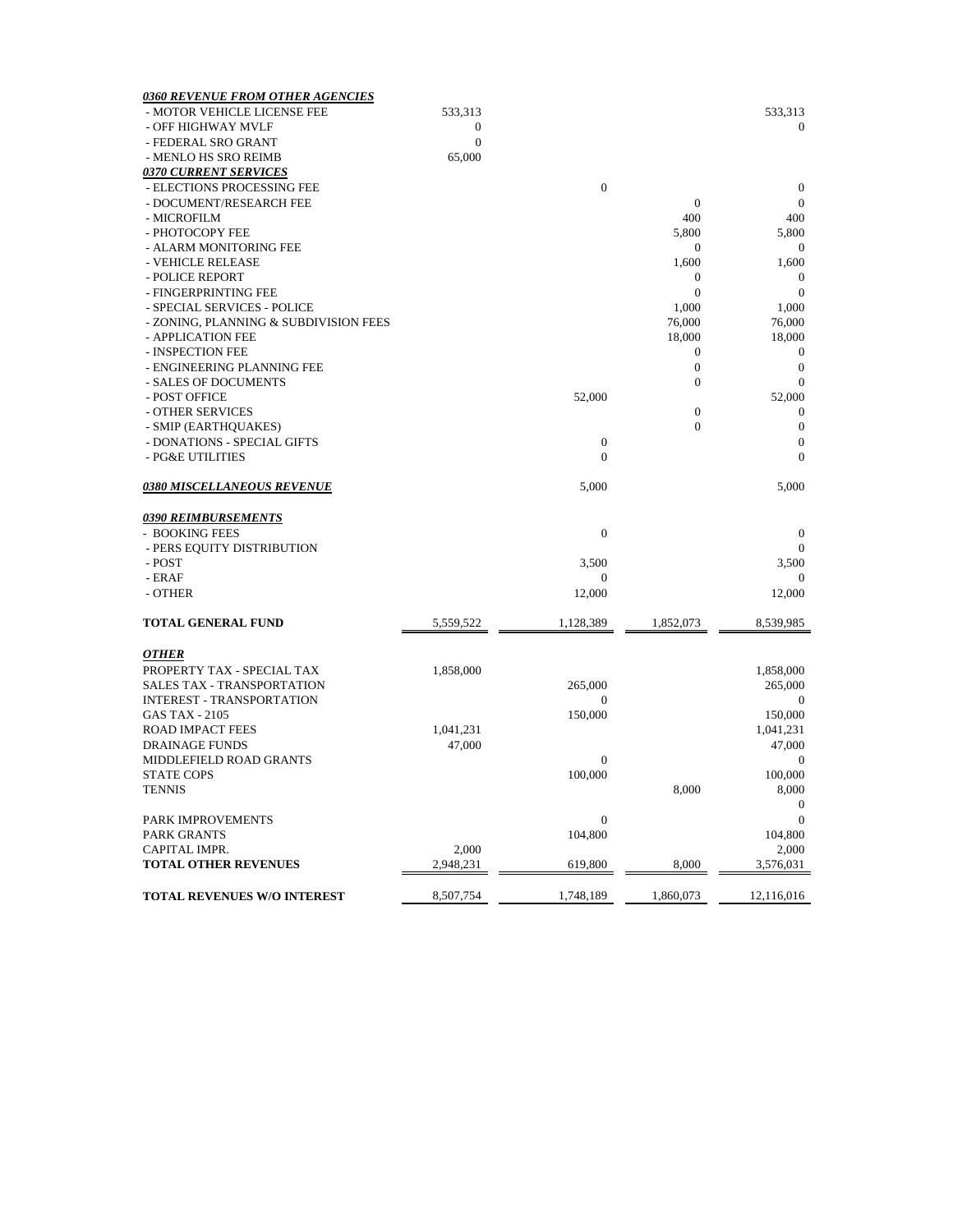| <b>0360 REVENUE FROM OTHER AGENCIES</b> |                  |                  |                  |                  |
|-----------------------------------------|------------------|------------------|------------------|------------------|
| - MOTOR VEHICLE LICENSE FEE             | 533,313          |                  |                  | 533,313          |
| - OFF HIGHWAY MVLF                      | 0                |                  |                  | $\mathbf{0}$     |
| - FEDERAL SRO GRANT                     | $\boldsymbol{0}$ |                  |                  |                  |
| - MENLO HS SRO REIMB                    | 65,000           |                  |                  |                  |
| <u>0370 CURRENT SERVICES</u>            |                  |                  |                  |                  |
| - ELECTIONS PROCESSING FEE              |                  | $\mathbf{0}$     |                  | $\boldsymbol{0}$ |
| - DOCUMENT/RESEARCH FEE                 |                  |                  | $\boldsymbol{0}$ | $\theta$         |
| - MICROFILM                             |                  |                  | 400              | 400              |
| - PHOTOCOPY FEE                         |                  |                  | 5,800            | 5,800            |
| - ALARM MONITORING FEE                  |                  |                  | $\boldsymbol{0}$ | $\bf{0}$         |
| - VEHICLE RELEASE                       |                  |                  | 1,600            | 1,600            |
| - POLICE REPORT                         |                  |                  | $\mathbf{0}$     | $\theta$         |
| - FINGERPRINTING FEE                    |                  |                  | $\mathbf{0}$     | $\boldsymbol{0}$ |
| - SPECIAL SERVICES - POLICE             |                  |                  | 1,000            | 1,000            |
| - ZONING, PLANNING & SUBDIVISION FEES   |                  |                  | 76,000           | 76,000           |
| - APPLICATION FEE                       |                  |                  | 18,000           | 18,000           |
| - INSPECTION FEE                        |                  |                  | $\boldsymbol{0}$ | $\boldsymbol{0}$ |
| - ENGINEERING PLANNING FEE              |                  |                  | $\boldsymbol{0}$ | $\boldsymbol{0}$ |
| - SALES OF DOCUMENTS                    |                  |                  | $\boldsymbol{0}$ | $\overline{0}$   |
| - POST OFFICE                           |                  | 52,000           |                  | 52,000           |
| - OTHER SERVICES                        |                  |                  | $\boldsymbol{0}$ | $\theta$         |
| - SMIP (EARTHQUAKES)                    |                  |                  | $\mathbf{0}$     | $\boldsymbol{0}$ |
| - DONATIONS - SPECIAL GIFTS             |                  | $\boldsymbol{0}$ |                  | $\boldsymbol{0}$ |
| - PG&E UTILITIES                        |                  | $\overline{0}$   |                  | $\mathbf{0}$     |
|                                         |                  |                  |                  |                  |
| <b>0380 MISCELLANEOUS REVENUE</b>       |                  | 5,000            |                  | 5,000            |
|                                         |                  |                  |                  |                  |
| <b>0390 REIMBURSEMENTS</b>              |                  |                  |                  |                  |
| - BOOKING FEES                          |                  | $\boldsymbol{0}$ |                  | $\boldsymbol{0}$ |
| - PERS EQUITY DISTRIBUTION              |                  |                  |                  | $\Omega$         |
| - POST                                  |                  | 3,500            |                  | 3,500            |
| - ERAF                                  |                  | 0                |                  | $\mathbf{0}$     |
| - OTHER                                 |                  | 12,000           |                  | 12,000           |
| <b>TOTAL GENERAL FUND</b>               | 5,559,522        | 1,128,389        | 1,852,073        | 8,539,985        |
|                                         |                  |                  |                  |                  |
| <b>OTHER</b>                            |                  |                  |                  |                  |
| PROPERTY TAX - SPECIAL TAX              | 1,858,000        |                  |                  | 1,858,000        |
| <b>SALES TAX - TRANSPORTATION</b>       |                  | 265,000          |                  | 265,000          |
| <b>INTEREST - TRANSPORTATION</b>        |                  | $\overline{0}$   |                  | $\mathbf{0}$     |
| <b>GAS TAX - 2105</b>                   |                  | 150,000          |                  | 150,000          |
| <b>ROAD IMPACT FEES</b>                 | 1,041,231        |                  |                  | 1,041,231        |
| <b>DRAINAGE FUNDS</b>                   | 47,000           |                  |                  | 47,000           |
| MIDDLEFIELD ROAD GRANTS                 |                  | 0                |                  | $\bf{0}$         |
| <b>STATE COPS</b>                       |                  | 100,000          |                  | 100,000          |
| <b>TENNIS</b>                           |                  |                  | 8,000            | 8,000            |
|                                         |                  |                  |                  | $\boldsymbol{0}$ |
| PARK IMPROVEMENTS                       |                  | 0                |                  | $\theta$         |
| <b>PARK GRANTS</b>                      |                  | 104,800          |                  | 104,800          |
| CAPITAL IMPR.                           | 2,000            |                  |                  | 2,000            |
| <b>TOTAL OTHER REVENUES</b>             | 2,948,231        | 619,800          | 8,000            | 3,576,031        |
| <b>TOTAL REVENUES W/O INTEREST</b>      | 8,507,754        | 1,748,189        | 1,860,073        | 12,116,016       |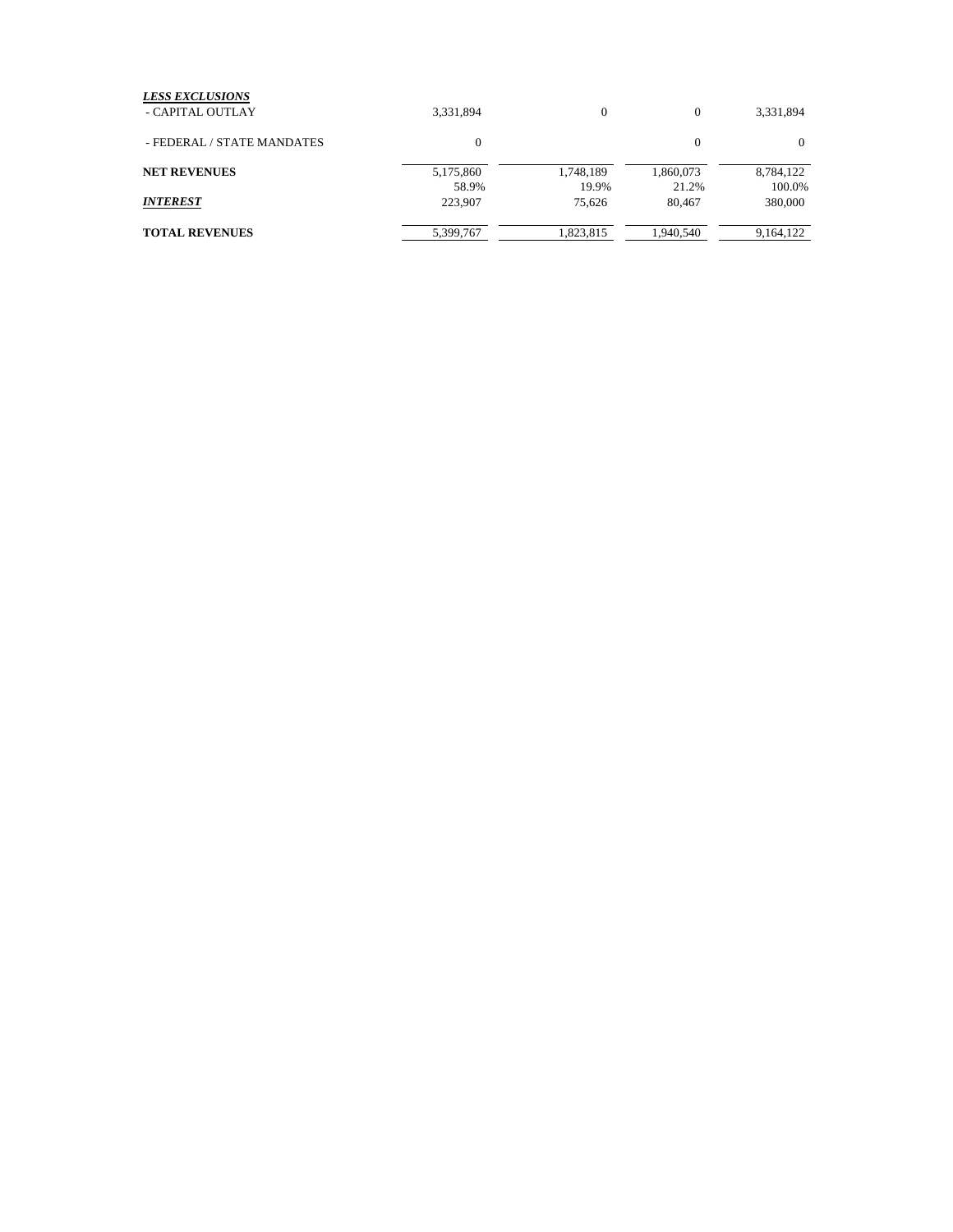| 3,331,894    | $\mathbf{0}$ | 0         | 3,331,894 |
|--------------|--------------|-----------|-----------|
| $\mathbf{0}$ |              | 0         | $\Omega$  |
| 5,175,860    | 1,748,189    | 1,860,073 | 8,784,122 |
| 58.9%        | 19.9%        | 21.2%     | 100.0%    |
| 223,907      | 75.626       | 80,467    | 380,000   |
| 5,399,767    | 1,823,815    | 1,940,540 | 9,164,122 |
|              |              |           |           |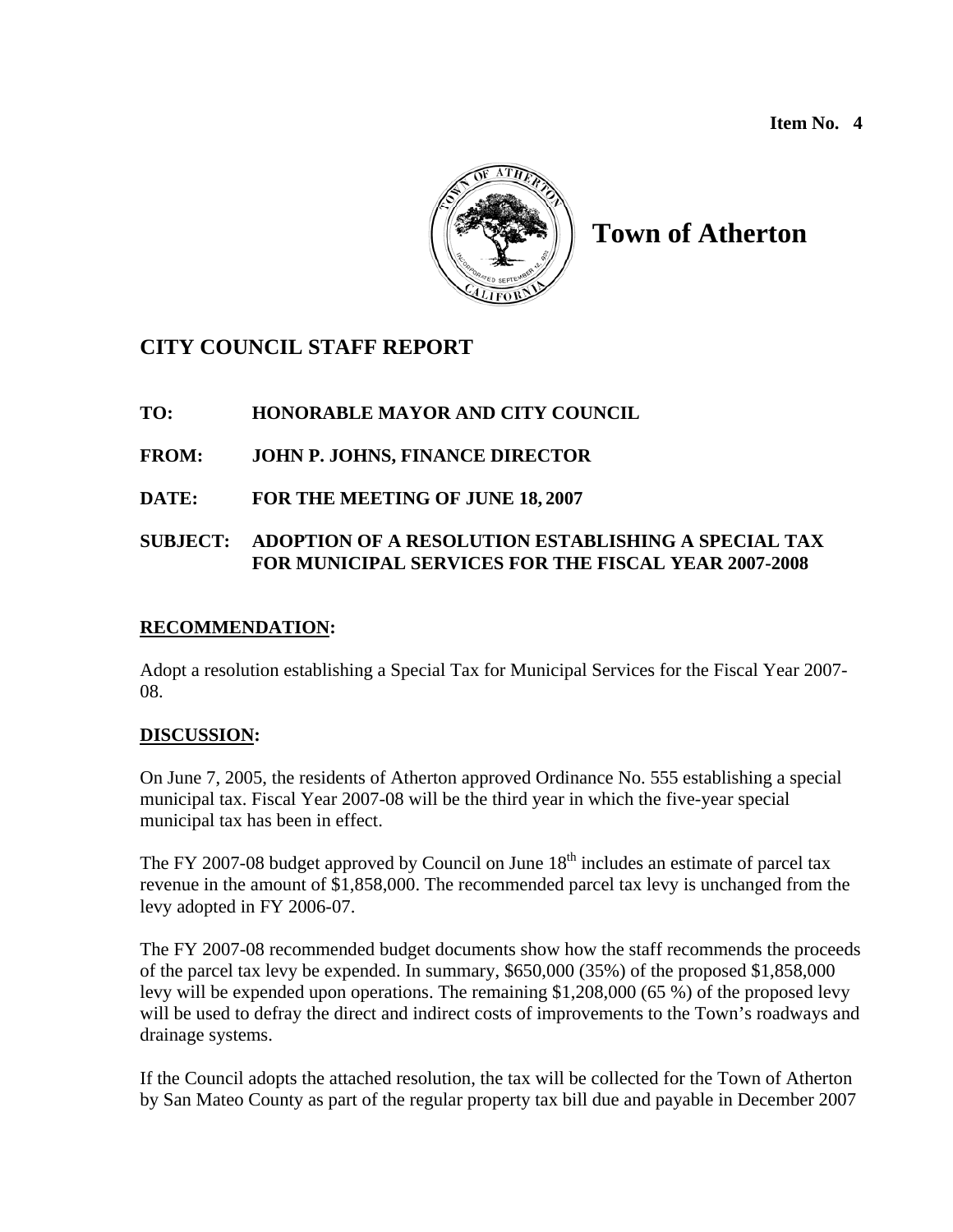**Item No. 4** 



# **Town of Atherton**

## **CITY COUNCIL STAFF REPORT**

## **TO: HONORABLE MAYOR AND CITY COUNCIL**

## **FROM: JOHN P. JOHNS, FINANCE DIRECTOR**

**DATE: FOR THE MEETING OF JUNE 18, 2007** 

## **SUBJECT: ADOPTION OF A RESOLUTION ESTABLISHING A SPECIAL TAX FOR MUNICIPAL SERVICES FOR THE FISCAL YEAR 2007-2008**

## **RECOMMENDATION:**

Adopt a resolution establishing a Special Tax for Municipal Services for the Fiscal Year 2007- 08.

## **DISCUSSION:**

On June 7, 2005, the residents of Atherton approved Ordinance No. 555 establishing a special municipal tax. Fiscal Year 2007-08 will be the third year in which the five-year special municipal tax has been in effect.

The FY 2007-08 budget approved by Council on June  $18<sup>th</sup>$  includes an estimate of parcel tax revenue in the amount of \$1,858,000. The recommended parcel tax levy is unchanged from the levy adopted in FY 2006-07.

The FY 2007-08 recommended budget documents show how the staff recommends the proceeds of the parcel tax levy be expended. In summary, \$650,000 (35%) of the proposed \$1,858,000 levy will be expended upon operations. The remaining \$1,208,000 (65 %) of the proposed levy will be used to defray the direct and indirect costs of improvements to the Town's roadways and drainage systems.

If the Council adopts the attached resolution, the tax will be collected for the Town of Atherton by San Mateo County as part of the regular property tax bill due and payable in December 2007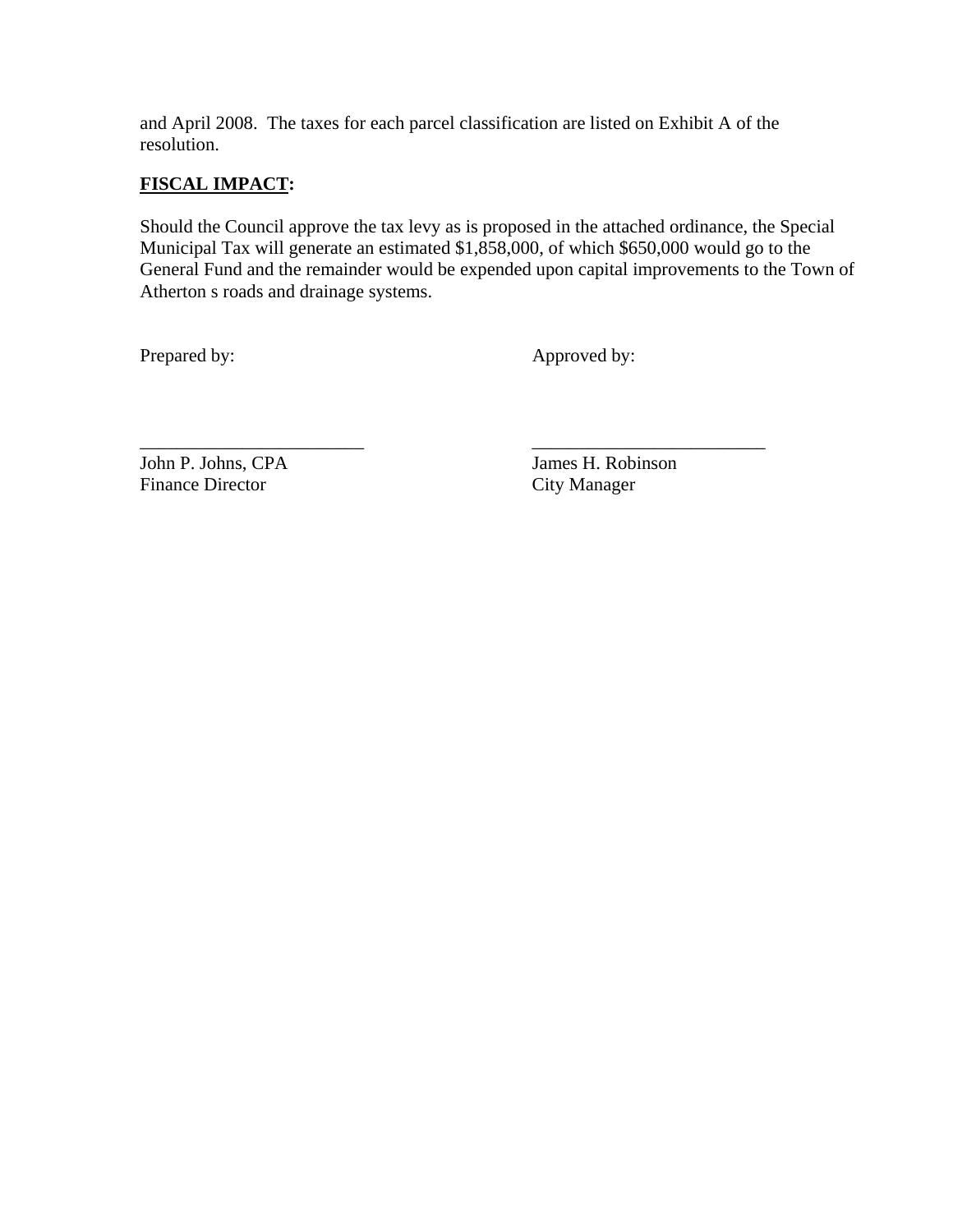and April 2008. The taxes for each parcel classification are listed on Exhibit A of the resolution.

\_\_\_\_\_\_\_\_\_\_\_\_\_\_\_\_\_\_\_\_\_\_\_\_ \_\_\_\_\_\_\_\_\_\_\_\_\_\_\_\_\_\_\_\_\_\_\_\_\_

## **FISCAL IMPACT:**

Should the Council approve the tax levy as is proposed in the attached ordinance, the Special Municipal Tax will generate an estimated \$1,858,000, of which \$650,000 would go to the General Fund and the remainder would be expended upon capital improvements to the Town of Atherton s roads and drainage systems.

Prepared by: Approved by:

John P. Johns, CPA James H. Robinson Finance Director City Manager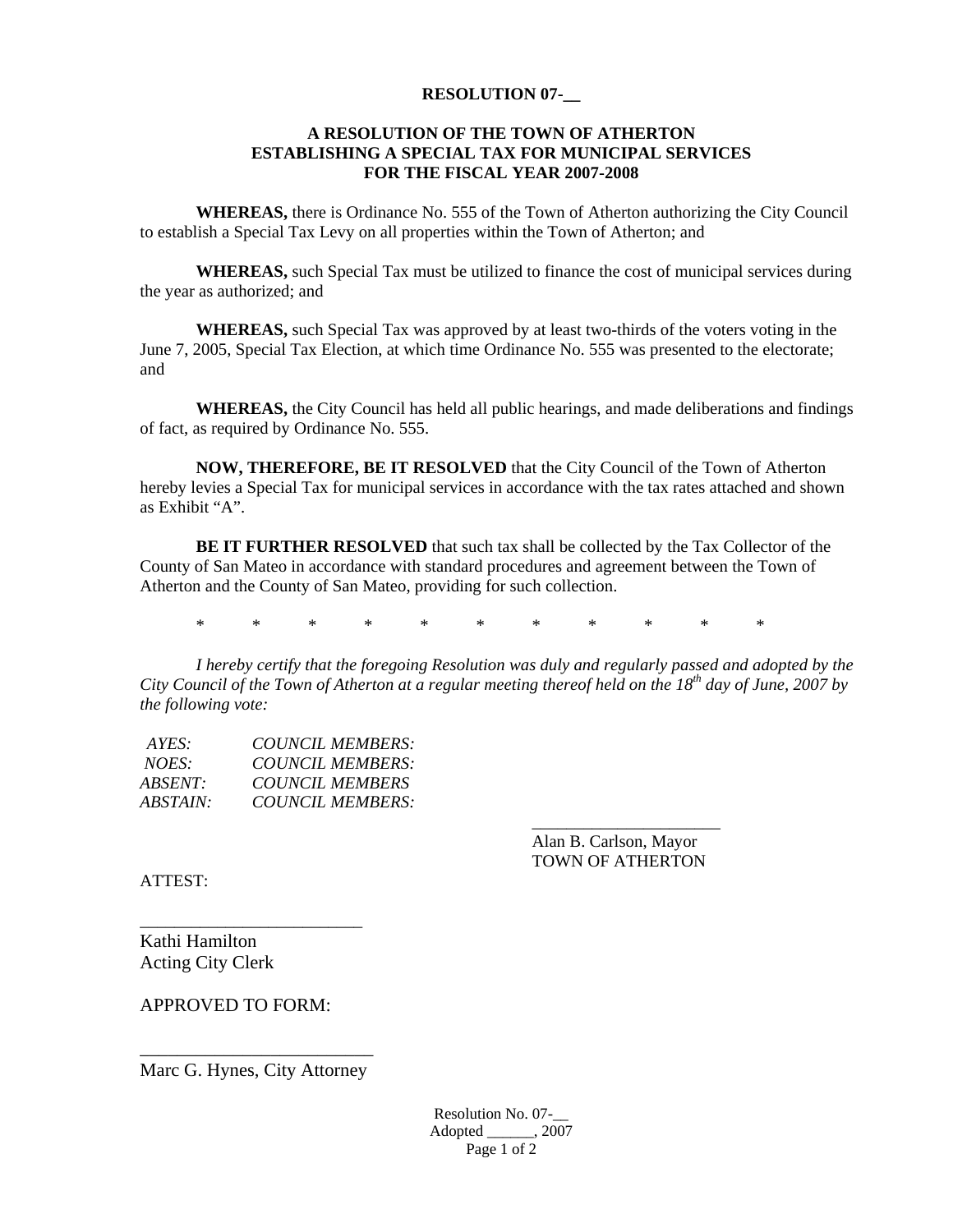#### **RESOLUTION 07-\_\_**

#### **A RESOLUTION OF THE TOWN OF ATHERTON ESTABLISHING A SPECIAL TAX FOR MUNICIPAL SERVICES FOR THE FISCAL YEAR 2007-2008**

 **WHEREAS,** there is Ordinance No. 555 of the Town of Atherton authorizing the City Council to establish a Special Tax Levy on all properties within the Town of Atherton; and

**WHEREAS,** such Special Tax must be utilized to finance the cost of municipal services during the year as authorized; and

**WHEREAS,** such Special Tax was approved by at least two-thirds of the voters voting in the June 7, 2005, Special Tax Election, at which time Ordinance No. 555 was presented to the electorate; and

**WHEREAS,** the City Council has held all public hearings, and made deliberations and findings of fact, as required by Ordinance No. 555.

**NOW, THEREFORE, BE IT RESOLVED** that the City Council of the Town of Atherton hereby levies a Special Tax for municipal services in accordance with the tax rates attached and shown as Exhibit "A".

**BE IT FURTHER RESOLVED** that such tax shall be collected by the Tax Collector of the County of San Mateo in accordance with standard procedures and agreement between the Town of Atherton and the County of San Mateo, providing for such collection.

\* \* \* \* \* \* \* \* \* \* \*

 *\_\_\_\_\_\_\_\_\_\_\_\_\_\_\_\_\_\_\_\_\_\_*

*I hereby certify that the foregoing Resolution was duly and regularly passed and adopted by the City Council of the Town of Atherton at a regular meeting thereof held on the 18th day of June, 2007 by the following vote:* 

| COUNCIL MEMBERS:        |
|-------------------------|
| <b>COUNCIL MEMBERS:</b> |
| <b>COUNCIL MEMBERS</b>  |
| COUNCIL MEMBERS:        |
|                         |

 Alan B. Carlson, Mayor TOWN OF ATHERTON

ATTEST:

Kathi Hamilton Acting City Clerk

APPROVED TO FORM:

\_\_\_\_\_\_\_\_\_\_\_\_\_\_\_\_\_\_\_\_\_\_\_\_\_ Marc G. Hynes, City Attorney

\_\_\_\_\_\_\_\_\_\_\_\_\_\_\_\_\_\_\_\_\_\_\_\_\_\_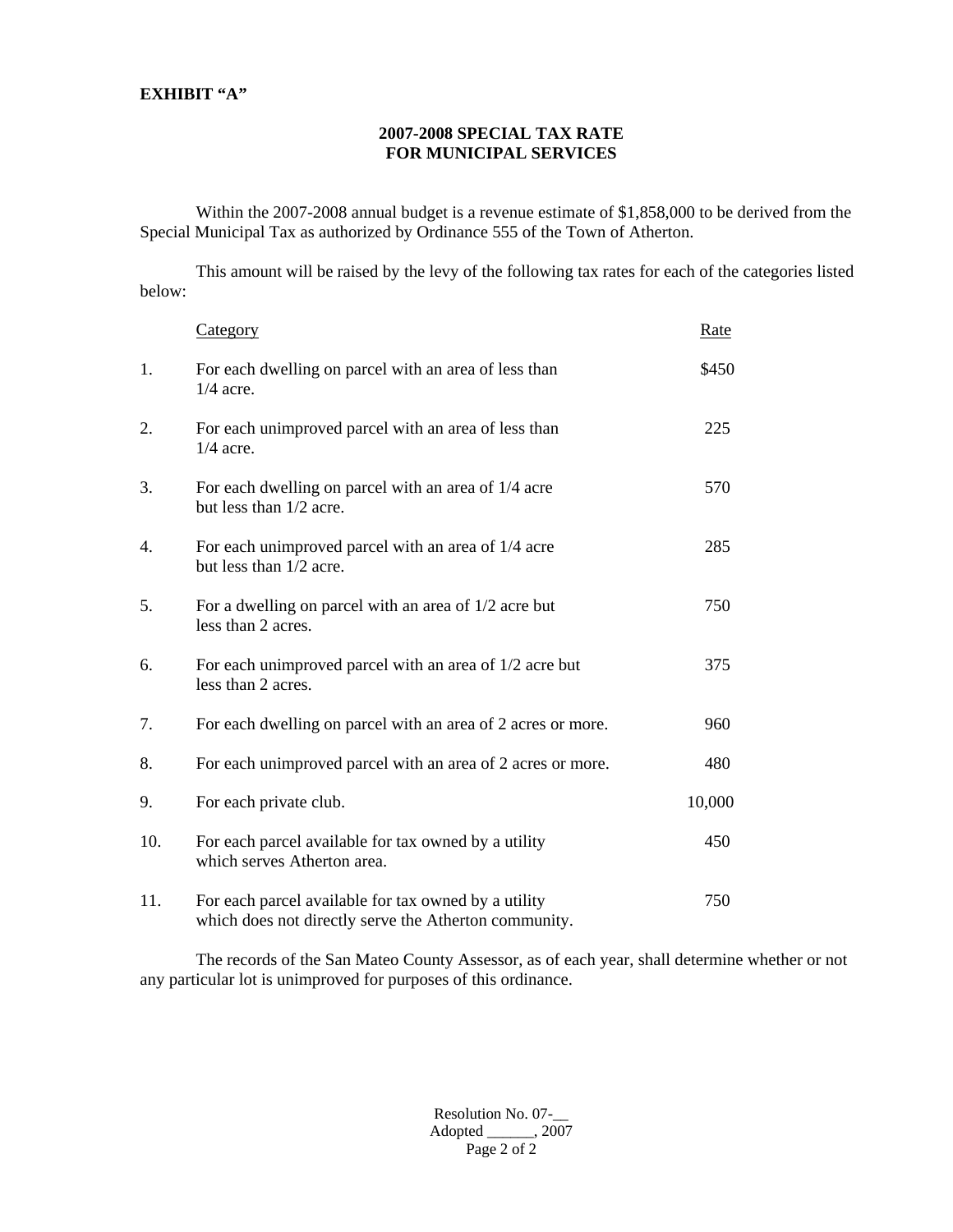#### **EXHIBIT "A"**

#### **2007-2008 SPECIAL TAX RATE FOR MUNICIPAL SERVICES**

 Within the 2007-2008 annual budget is a revenue estimate of \$1,858,000 to be derived from the Special Municipal Tax as authorized by Ordinance 555 of the Town of Atherton.

 This amount will be raised by the levy of the following tax rates for each of the categories listed below:

|     | Category                                                                                                      | <u>Rate</u> |
|-----|---------------------------------------------------------------------------------------------------------------|-------------|
| 1.  | For each dwelling on parcel with an area of less than<br>$1/4$ acre.                                          | \$450       |
| 2.  | For each unimproved parcel with an area of less than<br>$1/4$ acre.                                           | 225         |
| 3.  | For each dwelling on parcel with an area of 1/4 acre<br>but less than 1/2 acre.                               | 570         |
| 4.  | For each unimproved parcel with an area of 1/4 acre<br>but less than 1/2 acre.                                | 285         |
| 5.  | For a dwelling on parcel with an area of $1/2$ acre but<br>less than 2 acres.                                 | 750         |
| 6.  | For each unimproved parcel with an area of $1/2$ acre but<br>less than 2 acres.                               | 375         |
| 7.  | For each dwelling on parcel with an area of 2 acres or more.                                                  | 960         |
| 8.  | For each unimproved parcel with an area of 2 acres or more.                                                   | 480         |
| 9.  | For each private club.                                                                                        | 10,000      |
| 10. | For each parcel available for tax owned by a utility<br>which serves Atherton area.                           | 450         |
| 11. | For each parcel available for tax owned by a utility<br>which does not directly serve the Atherton community. | 750         |

 The records of the San Mateo County Assessor, as of each year, shall determine whether or not any particular lot is unimproved for purposes of this ordinance.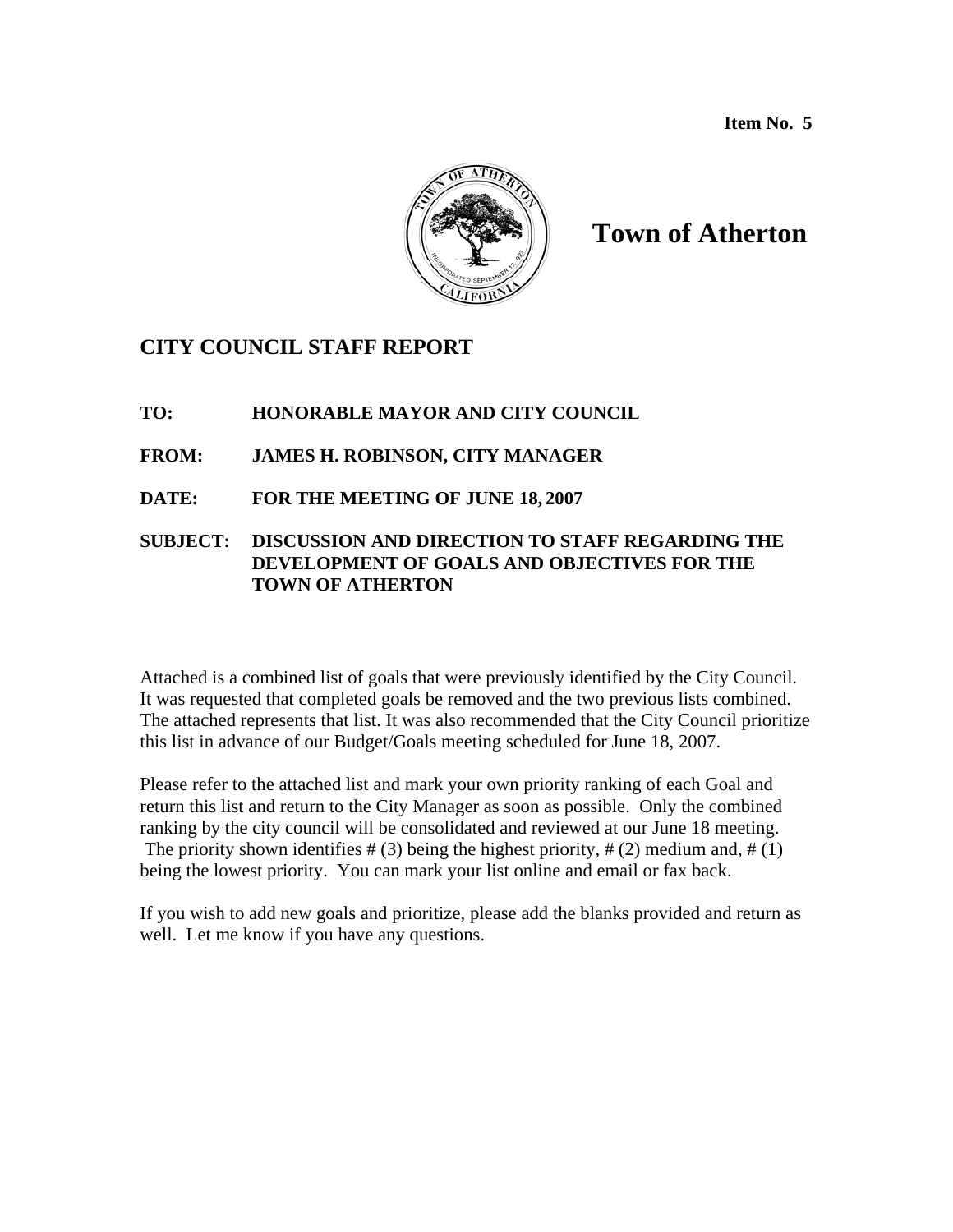**Item No. 5** 



# **Town of Atherton**

## **CITY COUNCIL STAFF REPORT**

- **TO: HONORABLE MAYOR AND CITY COUNCIL**
- **FROM: JAMES H. ROBINSON, CITY MANAGER**
- **DATE: FOR THE MEETING OF JUNE 18, 2007**

### **SUBJECT: DISCUSSION AND DIRECTION TO STAFF REGARDING THE DEVELOPMENT OF GOALS AND OBJECTIVES FOR THE TOWN OF ATHERTON**

Attached is a combined list of goals that were previously identified by the City Council. It was requested that completed goals be removed and the two previous lists combined. The attached represents that list. It was also recommended that the City Council prioritize this list in advance of our Budget/Goals meeting scheduled for June 18, 2007.

Please refer to the attached list and mark your own priority ranking of each Goal and return this list and return to the City Manager as soon as possible. Only the combined ranking by the city council will be consolidated and reviewed at our June 18 meeting. The priority shown identifies  $# (3)$  being the highest priority,  $# (2)$  medium and,  $# (1)$ being the lowest priority. You can mark your list online and email or fax back.

If you wish to add new goals and prioritize, please add the blanks provided and return as well. Let me know if you have any questions.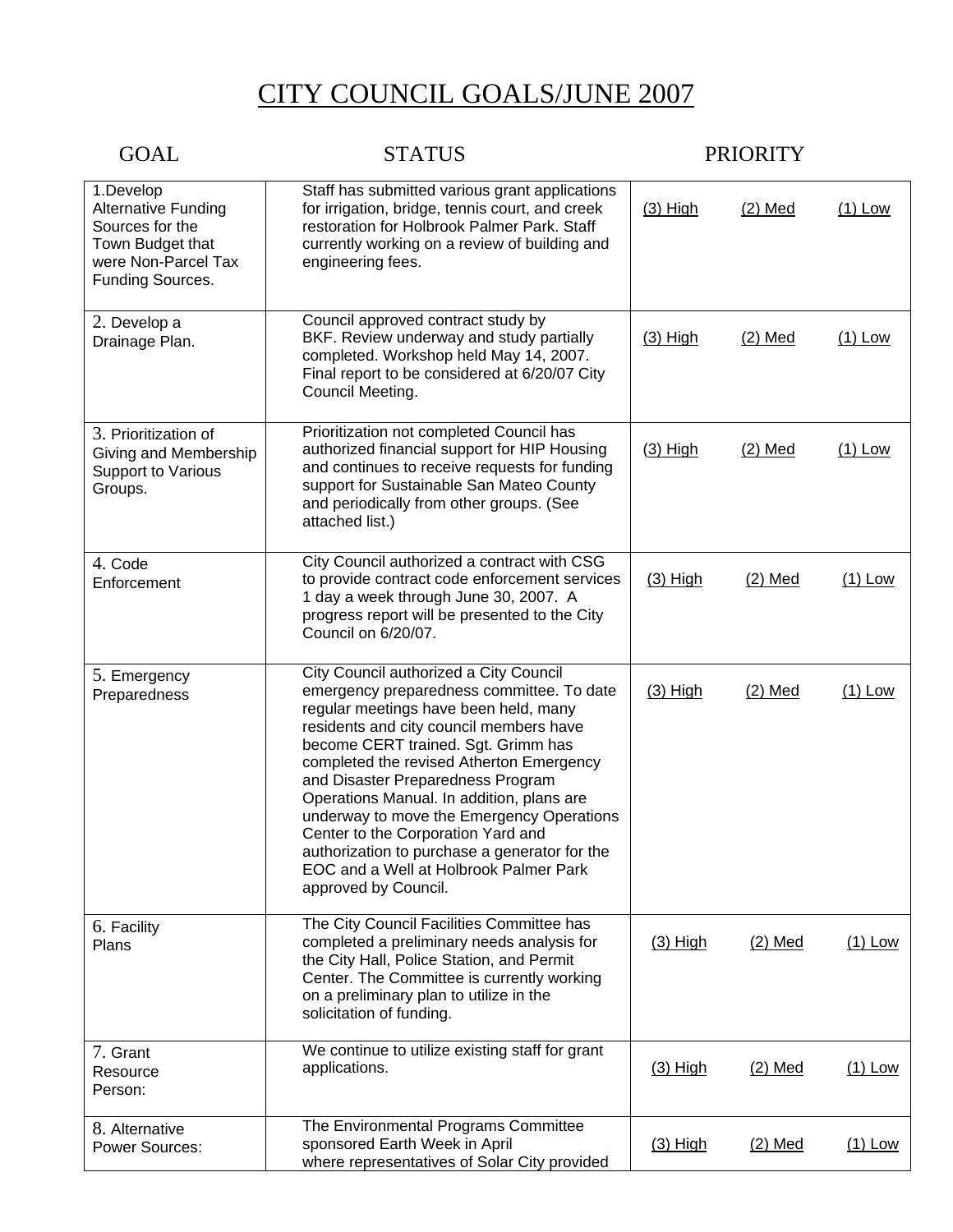# CITY COUNCIL GOALS/JUNE 2007

| <b>GOAL</b>                                                                                                               | <b>STATUS</b>                                                                                                                                                                                                                                                                                                                                                                                                                                                                                                                                      | <b>PRIORITY</b> |           |           |
|---------------------------------------------------------------------------------------------------------------------------|----------------------------------------------------------------------------------------------------------------------------------------------------------------------------------------------------------------------------------------------------------------------------------------------------------------------------------------------------------------------------------------------------------------------------------------------------------------------------------------------------------------------------------------------------|-----------------|-----------|-----------|
| 1.Develop<br><b>Alternative Funding</b><br>Sources for the<br>Town Budget that<br>were Non-Parcel Tax<br>Funding Sources. | Staff has submitted various grant applications<br>for irrigation, bridge, tennis court, and creek<br>restoration for Holbrook Palmer Park. Staff<br>currently working on a review of building and<br>engineering fees.                                                                                                                                                                                                                                                                                                                             | $(3)$ High      | $(2)$ Med | $(1)$ Low |
| 2. Develop a<br>Drainage Plan.                                                                                            | Council approved contract study by<br>BKF. Review underway and study partially<br>completed. Workshop held May 14, 2007.<br>Final report to be considered at 6/20/07 City<br>Council Meeting.                                                                                                                                                                                                                                                                                                                                                      | $(3)$ High      | $(2)$ Med | $(1)$ Low |
| 3. Prioritization of<br>Giving and Membership<br>Support to Various<br>Groups.                                            | Prioritization not completed Council has<br>authorized financial support for HIP Housing<br>and continues to receive requests for funding<br>support for Sustainable San Mateo County<br>and periodically from other groups. (See<br>attached list.)                                                                                                                                                                                                                                                                                               | $(3)$ High      | $(2)$ Med | $(1)$ Low |
| 4. Code<br>Enforcement                                                                                                    | City Council authorized a contract with CSG<br>to provide contract code enforcement services<br>1 day a week through June 30, 2007. A<br>progress report will be presented to the City<br>Council on 6/20/07.                                                                                                                                                                                                                                                                                                                                      | $(3)$ High      | $(2)$ Med | $(1)$ Low |
| 5. Emergency<br>Preparedness                                                                                              | City Council authorized a City Council<br>emergency preparedness committee. To date<br>regular meetings have been held, many<br>residents and city council members have<br>become CERT trained. Sgt. Grimm has<br>completed the revised Atherton Emergency<br>and Disaster Preparedness Program<br>Operations Manual. In addition, plans are<br>underway to move the Emergency Operations<br>Center to the Corporation Yard and<br>authorization to purchase a generator for the<br>EOC and a Well at Holbrook Palmer Park<br>approved by Council. | $(3)$ High      | $(2)$ Med | $(1)$ Low |
| 6. Facility<br>Plans                                                                                                      | The City Council Facilities Committee has<br>completed a preliminary needs analysis for<br>the City Hall, Police Station, and Permit<br>Center. The Committee is currently working<br>on a preliminary plan to utilize in the<br>solicitation of funding.                                                                                                                                                                                                                                                                                          | $(3)$ High      | $(2)$ Med | $(1)$ Low |
| 7. Grant<br>Resource<br>Person:                                                                                           | We continue to utilize existing staff for grant<br>applications.                                                                                                                                                                                                                                                                                                                                                                                                                                                                                   | $(3)$ High      | $(2)$ Med | $(1)$ Low |
| 8. Alternative<br><b>Power Sources:</b>                                                                                   | The Environmental Programs Committee<br>sponsored Earth Week in April<br>where representatives of Solar City provided                                                                                                                                                                                                                                                                                                                                                                                                                              | $(3)$ High      | $(2)$ Med | $(1)$ Low |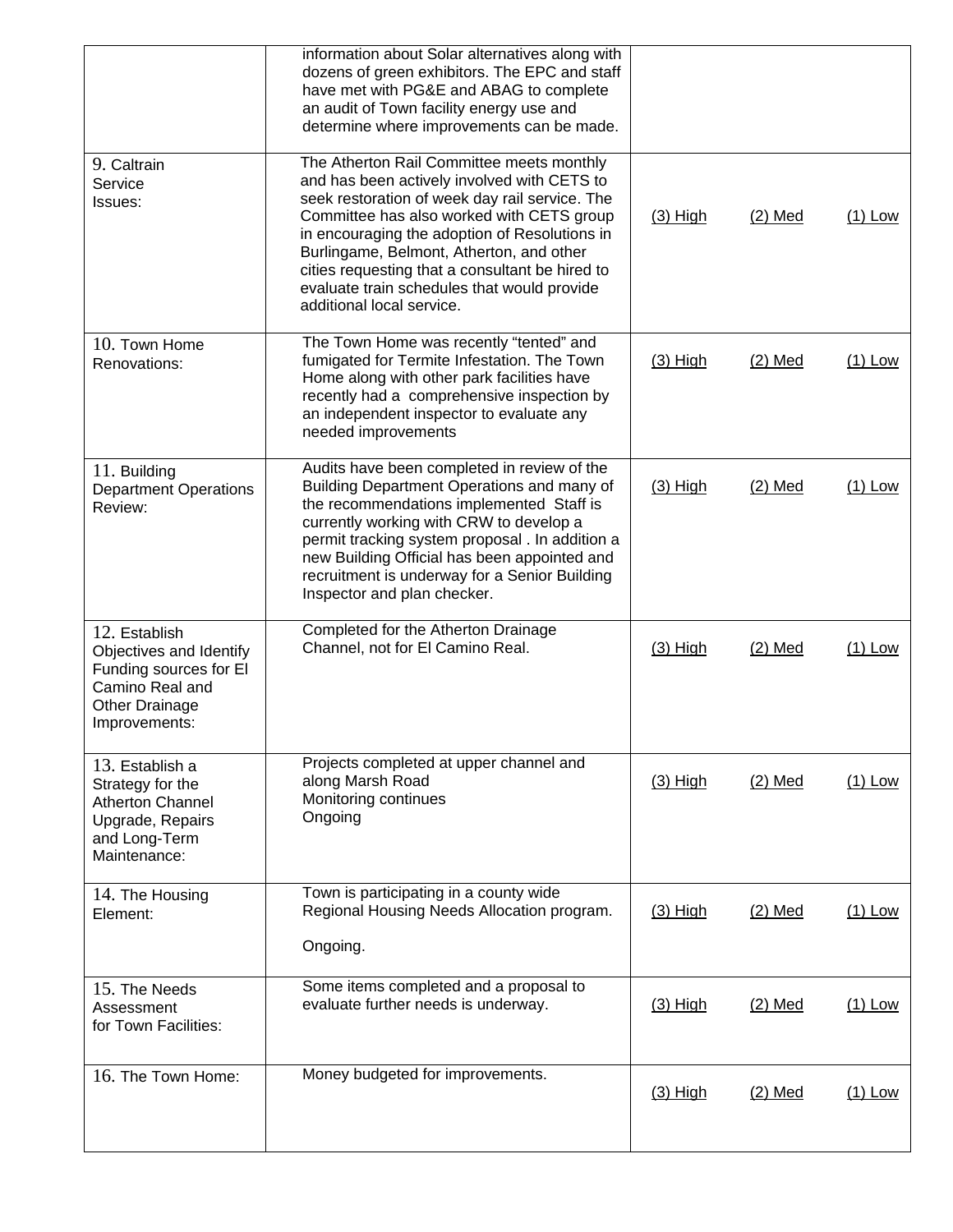|                                                                                                                                 |                                                                                                                                                                                                                                                                                                                                                                                                                     | $(3)$ High | $(2)$ Med | $(1)$ Low |
|---------------------------------------------------------------------------------------------------------------------------------|---------------------------------------------------------------------------------------------------------------------------------------------------------------------------------------------------------------------------------------------------------------------------------------------------------------------------------------------------------------------------------------------------------------------|------------|-----------|-----------|
| 15. The Needs<br>Assessment<br>for Town Facilities:<br>16. The Town Home:                                                       | Some items completed and a proposal to<br>evaluate further needs is underway.<br>Money budgeted for improvements.                                                                                                                                                                                                                                                                                                   | $(3)$ High | $(2)$ Med | $(1)$ Low |
| 14. The Housing<br>Element:                                                                                                     | Town is participating in a county wide<br>Regional Housing Needs Allocation program.<br>Ongoing.                                                                                                                                                                                                                                                                                                                    | $(3)$ High | $(2)$ Med | $(1)$ Low |
| 13. Establish a<br>Strategy for the<br><b>Atherton Channel</b><br>Upgrade, Repairs<br>and Long-Term<br>Maintenance:             | Projects completed at upper channel and<br>along Marsh Road<br>Monitoring continues<br>Ongoing                                                                                                                                                                                                                                                                                                                      | $(3)$ High | $(2)$ Med | $(1)$ Low |
| 12. Establish<br>Objectives and Identify<br>Funding sources for El<br>Camino Real and<br><b>Other Drainage</b><br>Improvements: | Completed for the Atherton Drainage<br>Channel, not for El Camino Real.                                                                                                                                                                                                                                                                                                                                             | $(3)$ High | $(2)$ Med | $(1)$ Low |
| 11. Building<br><b>Department Operations</b><br>Review:                                                                         | Audits have been completed in review of the<br>Building Department Operations and many of<br>the recommendations implemented Staff is<br>currently working with CRW to develop a<br>permit tracking system proposal . In addition a<br>new Building Official has been appointed and<br>recruitment is underway for a Senior Building<br>Inspector and plan checker.                                                 | $(3)$ High | $(2)$ Med | $(1)$ Low |
| 10. Town Home<br>Renovations:                                                                                                   | The Town Home was recently "tented" and<br>fumigated for Termite Infestation. The Town<br>Home along with other park facilities have<br>recently had a comprehensive inspection by<br>an independent inspector to evaluate any<br>needed improvements                                                                                                                                                               | $(3)$ High | $(2)$ Med | $(1)$ Low |
| 9. Caltrain<br>Service<br>Issues:                                                                                               | The Atherton Rail Committee meets monthly<br>and has been actively involved with CETS to<br>seek restoration of week day rail service. The<br>Committee has also worked with CETS group<br>in encouraging the adoption of Resolutions in<br>Burlingame, Belmont, Atherton, and other<br>cities requesting that a consultant be hired to<br>evaluate train schedules that would provide<br>additional local service. | $(3)$ High | $(2)$ Med | $(1)$ Low |
|                                                                                                                                 | information about Solar alternatives along with<br>dozens of green exhibitors. The EPC and staff<br>have met with PG&E and ABAG to complete<br>an audit of Town facility energy use and<br>determine where improvements can be made.                                                                                                                                                                                |            |           |           |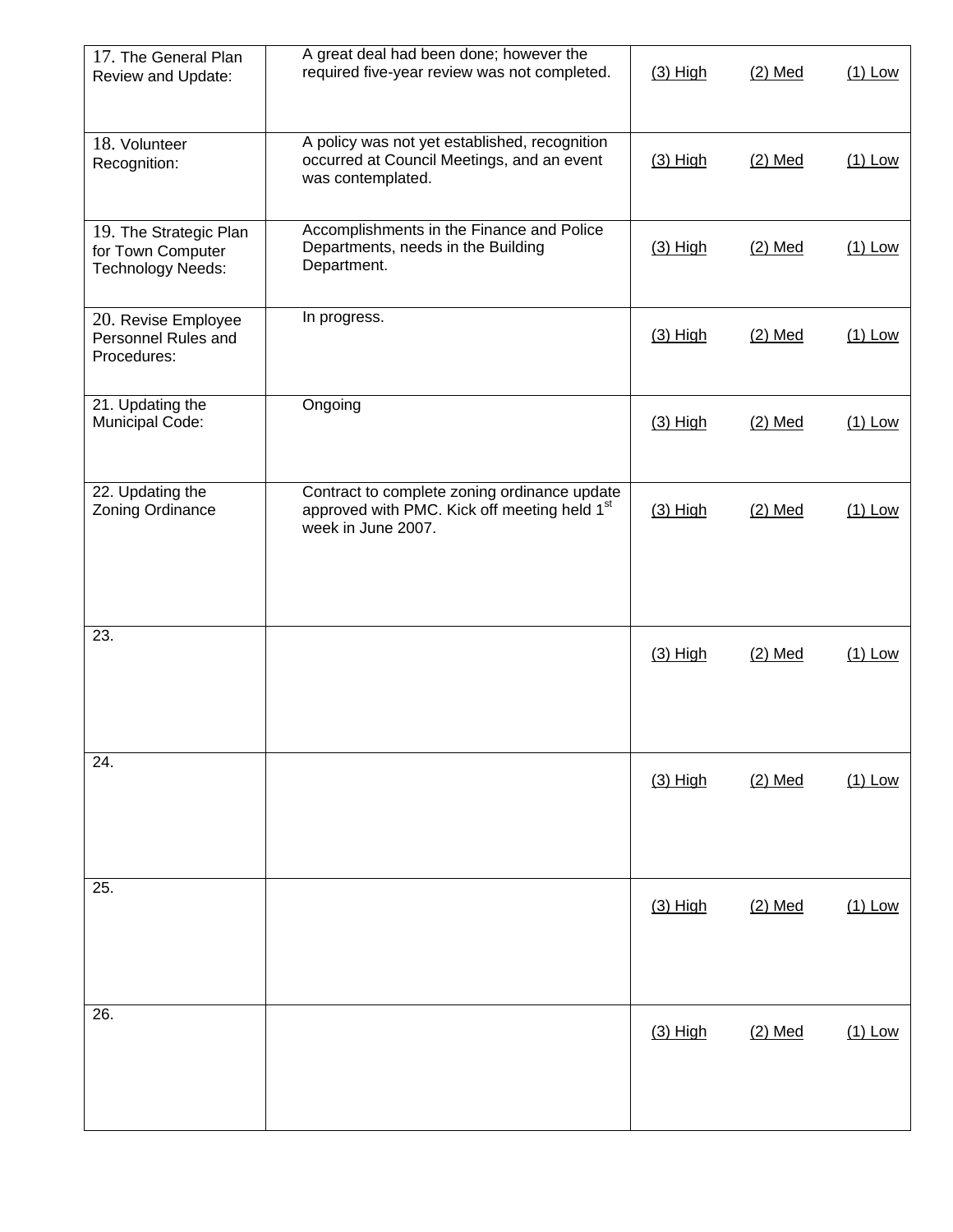| 17. The General Plan<br>Review and Update:                              | A great deal had been done; however the<br>required five-year review was not completed.                                        | $(3)$ High | $(2)$ Med | $(1)$ Low |
|-------------------------------------------------------------------------|--------------------------------------------------------------------------------------------------------------------------------|------------|-----------|-----------|
| 18. Volunteer<br>Recognition:                                           | A policy was not yet established, recognition<br>occurred at Council Meetings, and an event<br>was contemplated.               | $(3)$ High | $(2)$ Med | $(1)$ Low |
| 19. The Strategic Plan<br>for Town Computer<br><b>Technology Needs:</b> | Accomplishments in the Finance and Police<br>Departments, needs in the Building<br>Department.                                 | $(3)$ High | $(2)$ Med | $(1)$ Low |
| 20. Revise Employee<br>Personnel Rules and<br>Procedures:               | In progress.                                                                                                                   | $(3)$ High | $(2)$ Med | $(1)$ Low |
| 21. Updating the<br>Municipal Code:                                     | Ongoing                                                                                                                        | $(3)$ High | $(2)$ Med | $(1)$ Low |
| 22. Updating the<br>Zoning Ordinance                                    | Contract to complete zoning ordinance update<br>approved with PMC. Kick off meeting held 1 <sup>st</sup><br>week in June 2007. | $(3)$ High | $(2)$ Med | $(1)$ Low |
| 23.                                                                     |                                                                                                                                | $(3)$ High | $(2)$ Med | $(1)$ Low |
| 24.                                                                     |                                                                                                                                | $(3)$ High | $(2)$ Med | $(1)$ Low |
| 25.                                                                     |                                                                                                                                | $(3)$ High | $(2)$ Med | $(1)$ Low |
| $\overline{26}$ .                                                       |                                                                                                                                | $(3)$ High | $(2)$ Med | $(1)$ Low |